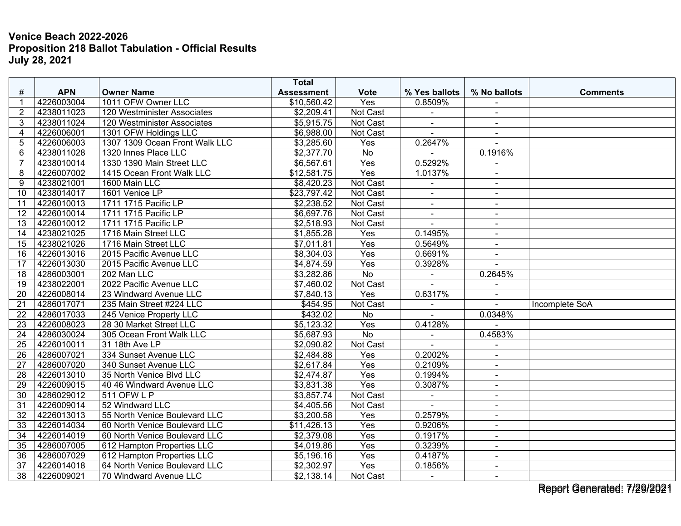|                 |            |                                | <b>Total</b>      |                 |                          |                |                 |
|-----------------|------------|--------------------------------|-------------------|-----------------|--------------------------|----------------|-----------------|
| #               | <b>APN</b> | <b>Owner Name</b>              | <b>Assessment</b> | <b>Vote</b>     | % Yes ballots            | % No ballots   | <b>Comments</b> |
| 1               | 4226003004 | 1011 OFW Owner LLC             | \$10,560.42       | Yes             | 0.8509%                  |                |                 |
| $\overline{2}$  | 4238011023 | 120 Westminister Associates    | \$2,209.41        | <b>Not Cast</b> | $\blacksquare$           | $\blacksquare$ |                 |
| 3               | 4238011024 | 120 Westminister Associates    | \$5,915.75        | Not Cast        | $\blacksquare$           | $\blacksquare$ |                 |
| 4               | 4226006001 | 1301 OFW Holdings LLC          | \$6,988.00        | Not Cast        |                          |                |                 |
| 5               | 4226006003 | 1307 1309 Ocean Front Walk LLC | \$3,285.60        | Yes             | 0.2647%                  | $\sim$         |                 |
| 6               | 4238011028 | 1320 Innes Place LLC           | \$2,377.70        | $\overline{No}$ |                          | 0.1916%        |                 |
| $\overline{7}$  | 4238010014 | 1330 1390 Main Street LLC      | \$6,567.61        | Yes             | 0.5292%                  |                |                 |
| 8               | 4226007002 | 1415 Ocean Front Walk LLC      | \$12,581.75       | Yes             | 1.0137%                  | $\sim$         |                 |
| 9               | 4238021001 | 1600 Main LLC                  | \$8,420.23        | Not Cast        | $\overline{a}$           | $\overline{a}$ |                 |
| 10 <sup>1</sup> | 4238014017 | 1601 Venice LP                 | \$23,797.42       | Not Cast        | $\overline{\phantom{a}}$ | $\blacksquare$ |                 |
| 11              | 4226010013 | 1711 1715 Pacific LP           | \$2,238.52        | Not Cast        | ä,                       |                |                 |
| 12              | 4226010014 | 1711 1715 Pacific LP           | \$6,697.76        | Not Cast        | $\blacksquare$           | $\sim$         |                 |
| 13              | 4226010012 | 1711 1715 Pacific LP           | \$2,518.93        | Not Cast        | $\blacksquare$           | $\sim$         |                 |
| 14              | 4238021025 | 1716 Main Street LLC           | \$1,855.28        | Yes             | 0.1495%                  |                |                 |
| 15              | 4238021026 | 1716 Main Street LLC           | \$7,011.81        | Yes             | 0.5649%                  | $\sim$         |                 |
| 16              | 4226013016 | 2015 Pacific Avenue LLC        | \$8,304.03        | Yes             | 0.6691%                  | $\sim$         |                 |
| 17              | 4226013030 | 2015 Pacific Avenue LLC        | \$4,874.59        | Yes             | 0.3928%                  |                |                 |
| $\overline{18}$ | 4286003001 | 202 Man LLC                    | \$3,282.86        | $\overline{No}$ | ÷,                       | 0.2645%        |                 |
| 19              | 4238022001 | 2022 Pacific Avenue LLC        | \$7,460.02        | Not Cast        |                          | $\blacksquare$ |                 |
| 20              | 4226008014 | 23 Windward Avenue LLC         | \$7,840.13        | Yes             | 0.6317%                  |                |                 |
| 21              | 4286017071 | 235 Main Street #224 LLC       | \$454.95          | Not Cast        |                          |                | Incomplete SoA  |
| 22              | 4286017033 | 245 Venice Property LLC        | \$432.02          | No              |                          | 0.0348%        |                 |
| 23              | 4226008023 | 28 30 Market Street LLC        | \$5,123.32        | Yes             | 0.4128%                  |                |                 |
| 24              | 4286030024 | 305 Ocean Front Walk LLC       | \$5,687.93        | $\overline{No}$ | $\blacksquare$           | 0.4583%        |                 |
| 25              | 4226010011 | 31 18th Ave LP                 | \$2,090.82        | Not Cast        |                          |                |                 |
| 26              | 4286007021 | 334 Sunset Avenue LLC          | \$2,484.88        | Yes             | 0.2002%                  | $\sim$         |                 |
| $\overline{27}$ | 4286007020 | 340 Sunset Avenue LLC          | \$2,617.84        | Yes             | 0.2109%                  | $\blacksquare$ |                 |
| $\overline{28}$ | 4226013010 | 35 North Venice Blvd LLC       | \$2,474.87        | Yes             | 0.1994%                  | $\sim$         |                 |
| 29              | 4226009015 | 40 46 Windward Avenue LLC      | \$3,831.38        | Yes             | 0.3087%                  | $\mathbf{r}$   |                 |
| $\overline{30}$ | 4286029012 | 511 OFW L P                    | \$3,857.74        | Not Cast        | $\blacksquare$           | $\sim$         |                 |
| 31              | 4226009014 | 52 Windward LLC                | \$4,405.56        | Not Cast        |                          | $\blacksquare$ |                 |
| 32              | 4226013013 | 55 North Venice Boulevard LLC  | \$3,200.58        | Yes             | 0.2579%                  | $\blacksquare$ |                 |
| $\overline{33}$ | 4226014034 | 60 North Venice Boulevard LLC  | \$11,426.13       | Yes             | 0.9206%                  | $\blacksquare$ |                 |
| 34              | 4226014019 | 60 North Venice Boulevard LLC  | \$2,379.08        | Yes             | 0.1917%                  | $\blacksquare$ |                 |
| 35              | 4286007005 | 612 Hampton Properties LLC     | \$4,019.86        | Yes             | 0.3239%                  | $\blacksquare$ |                 |
| $\overline{36}$ | 4286007029 | 612 Hampton Properties LLC     | \$5,196.16        | Yes             | 0.4187%                  | $\blacksquare$ |                 |
| 37              | 4226014018 | 64 North Venice Boulevard LLC  | \$2,302.97        | Yes             | 0.1856%                  | $\sim$         |                 |
| 38              | 4226009021 | 70 Windward Avenue LLC         | \$2,138.14        | Not Cast        | $\blacksquare$           | $\blacksquare$ |                 |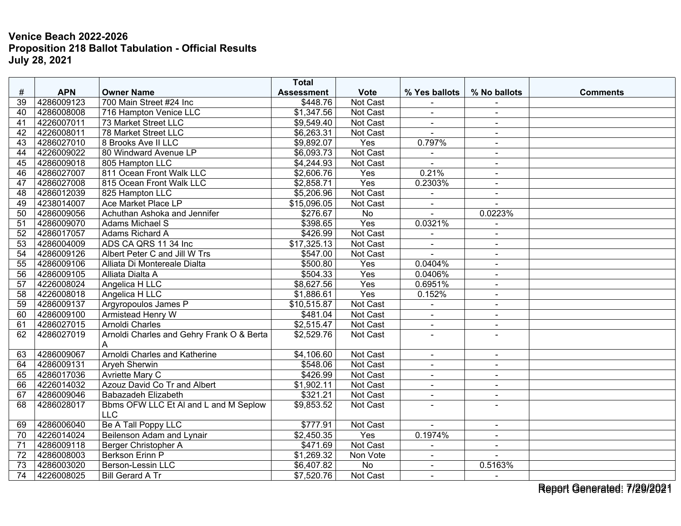|                 |            |                                                     | <b>Total</b>      |                 |                |                |                 |
|-----------------|------------|-----------------------------------------------------|-------------------|-----------------|----------------|----------------|-----------------|
| #               | <b>APN</b> | <b>Owner Name</b>                                   | <b>Assessment</b> | <b>Vote</b>     | % Yes ballots  | % No ballots   | <b>Comments</b> |
| 39              | 4286009123 | 700 Main Street #24 Inc                             | \$448.76          | Not Cast        |                |                |                 |
| 40              | 4286008008 | 716 Hampton Venice LLC                              | \$1,347.56        | Not Cast        | $\blacksquare$ | $\sim$         |                 |
| 41              | 4226007011 | 73 Market Street LLC                                | \$9,549.40        | Not Cast        | $\blacksquare$ | $\sim$         |                 |
| 42              | 4226008011 | 78 Market Street LLC                                | \$6,263.31        | Not Cast        |                |                |                 |
| 43              | 4286027010 | 8 Brooks Ave II LLC                                 | \$9,892.07        | Yes             | 0.797%         | $\sim$         |                 |
| 44              | 4226009022 | 80 Windward Avenue LP                               | \$6,093.73        | Not Cast        |                | $\blacksquare$ |                 |
| 45              | 4286009018 | 805 Hampton LLC                                     | \$4,244.93        | Not Cast        |                | $\blacksquare$ |                 |
| 46              | 4286027007 | 811 Ocean Front Walk LLC                            | \$2,606.76        | Yes             | 0.21%          | $\sim$         |                 |
| 47              | 4286027008 | 815 Ocean Front Walk LLC                            | \$2,858.71        | Yes             | 0.2303%        | $\sim$         |                 |
| 48              | 4286012039 | 825 Hampton LLC                                     | \$5,206.96        | Not Cast        | $\blacksquare$ | $\blacksquare$ |                 |
| 49              | 4238014007 | Ace Market Place LP                                 | \$15,096.05       | Not Cast        |                |                |                 |
| 50              | 4286009056 | Achuthan Ashoka and Jennifer                        | \$276.67          | $\overline{No}$ |                | 0.0223%        |                 |
| 51              | 4286009070 | Adams Michael S                                     | \$398.65          | Yes             | 0.0321%        | $\sim$         |                 |
| 52              | 4286017057 | Adams Richard A                                     | \$426.99          | Not Cast        |                | $\blacksquare$ |                 |
| 53              | 4286004009 | ADS CA QRS 11 34 Inc                                | \$17,325.13       | Not Cast        | $\blacksquare$ | $\overline{a}$ |                 |
| 54              | 4286009126 | Albert Peter C and Jill W Trs                       | \$547.00          | Not Cast        | $\overline{a}$ | $\sim$         |                 |
| 55              | 4286009106 | Alliata Di Montereale Dialta                        | \$500.80          | Yes             | 0.0404%        | $\blacksquare$ |                 |
| $\overline{56}$ | 4286009105 | Alliata Dialta A                                    | \$504.33          | Yes             | 0.0406%        | $\sim$         |                 |
| 57              | 4226008024 | Angelica H LLC                                      | \$8,627.56        | Yes             | 0.6951%        | $\sim$         |                 |
| 58              | 4226008018 | Angelica H LLC                                      | \$1,886.61        | Yes             | 0.152%         | $\blacksquare$ |                 |
| $\overline{59}$ | 4286009137 | Argyropoulos James P                                | \$10,515.87       | Not Cast        |                |                |                 |
| 60              | 4286009100 | Armistead Henry W                                   | \$481.04          | Not Cast        | $\blacksquare$ | $\sim$         |                 |
| 61              | 4286027015 | Arnoldi Charles                                     | \$2,515.47        | Not Cast        | $\sim$         | $\sim$         |                 |
| 62              | 4286027019 | Arnoldi Charles and Gehry Frank O & Berta<br>A      | \$2,529.76        | Not Cast        | $\blacksquare$ |                |                 |
| 63              | 4286009067 | Arnoldi Charles and Katherine                       | \$4,106.60        | Not Cast        | $\sim$         | $\sim$         |                 |
| 64              | 4286009131 | Aryeh Sherwin                                       | \$548.06          | Not Cast        | $\blacksquare$ | $\blacksquare$ |                 |
| 65              | 4286017036 | <b>Avriette Mary C</b>                              | \$426.99          | Not Cast        |                |                |                 |
| 66              | 4226014032 | Azouz David Co Tr and Albert                        | \$1,902.11        | Not Cast        | $\mathbf{r}$   | $\sim$         |                 |
| 67              | 4286009046 | Babazadeh Elizabeth                                 | \$321.21          | Not Cast        | $\blacksquare$ | $\blacksquare$ |                 |
| 68              | 4286028017 | Bbms OFW LLC Et Al and L and M Seplow<br><b>LLC</b> | \$9,853.52        | Not Cast        | $\sim$         |                |                 |
| 69              | 4286006040 | Be A Tall Poppy LLC                                 | \$777.91          | Not Cast        | $\sim$         | $\sim$         |                 |
| 70              | 4226014024 | Beilenson Adam and Lynair                           | \$2,450.35        | Yes             | 0.1974%        | $\sim$         |                 |
| 71              | 4286009118 | Berger Christopher A                                | \$471.69          | Not Cast        |                | $\mathbf{r}$   |                 |
| 72              | 4286008003 | <b>Berkson Erinn P</b>                              | \$1,269.32        | Non Vote        | $\sim$         | $\sim$         |                 |
| 73              | 4286003020 | <b>Berson-Lessin LLC</b>                            | \$6,407.82        | No              | $\blacksquare$ | 0.5163%        |                 |
| 74              | 4226008025 | <b>Bill Gerard A Tr</b>                             | \$7,520.76        | Not Cast        | $\blacksquare$ |                |                 |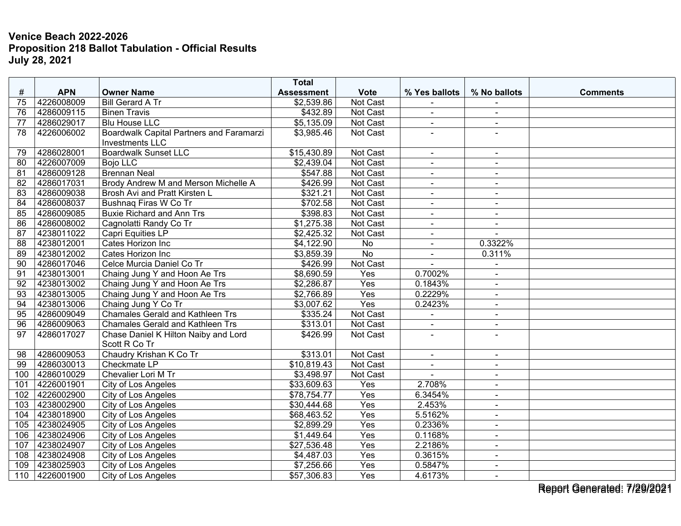| <b>Assessment</b><br>4226008009<br>\$2,539.86<br>Not Cast<br>75<br><b>Bill Gerard A Tr</b><br>4286009115<br>76<br><b>Binen Travis</b><br>\$432.89<br><b>Not Cast</b><br>$\blacksquare$<br>$\sim$<br><b>Blu House LLC</b><br>4286029017<br>\$5,135.09<br>Not Cast<br>77<br>$\blacksquare$<br>$\blacksquare$<br>78<br>4226006002<br>Boardwalk Capital Partners and Faramarzi<br>\$3,985.46<br>Not Cast<br><b>Investments LLC</b><br>4286028001<br><b>Boardwalk Sunset LLC</b><br>\$15,430.89<br>Not Cast<br>79<br>$\sim$<br>$\blacksquare$<br>4226007009<br>\$2,439.04<br>Not Cast<br>80<br><b>Bojo LLC</b><br>4286009128<br>\$547.88<br><b>Brennan Neal</b><br>Not Cast<br>81<br>$\blacksquare$<br>$\sim$<br>4286017031<br>82<br>Brody Andrew M and Merson Michelle A<br>\$426.99<br>Not Cast<br>$\blacksquare$<br>$\sim$<br>83<br>4286009038<br>Brosh Avi and Pratt Kirsten L<br>\$321.21<br>Not Cast<br>$\blacksquare$<br>$\blacksquare$<br>\$702.58<br>4286008037<br>$\overline{84}$<br>Not Cast<br>Bushnaq Firas W Co Tr<br>85<br>4286009085<br>\$398.83<br><b>Buxie Richard and Ann Trs</b><br>Not Cast<br>$\blacksquare$<br>$\sim$<br>4286008002<br>\$1,275.38<br>86<br>Not Cast<br>Cagnolatti Randy Co Tr<br>$\blacksquare$<br>$\blacksquare$<br>\$2,425.32<br>4238011022<br>Not Cast<br>87<br>Capri Equities LP<br>4238012001<br>\$4,122.90<br>Cates Horizon Inc<br>0.3322%<br>88<br>No<br>$\blacksquare$<br>4238012002<br>89<br>Cates Horizon Inc<br>\$3,859.39<br><b>No</b><br>0.311%<br>$\blacksquare$<br>Celce Murcia Daniel Co Tr<br>90<br>4286017046<br>\$426.99<br>Not Cast<br>$\blacksquare$<br>4238013001<br>\$8,690.59<br>91<br>Chaing Jung Y and Hoon Ae Trs<br>Yes<br>0.7002%<br>$\sim$<br>92<br>4238013002<br>Yes<br>0.1843%<br>Chaing Jung Y and Hoon Ae Trs<br>\$2,286.87<br>$\blacksquare$<br>0.2229%<br>4238013005<br>\$2,766.89<br>$\overline{Yes}$<br>93<br>Chaing Jung Y and Hoon Ae Trs<br>$\blacksquare$<br>4238013006<br>0.2423%<br>Chaing Jung Y Co Tr<br>\$3,007.62<br>Yes<br>94<br>$\sim$<br>\$335.24<br>4286009049<br><b>Chamales Gerald and Kathleen Trs</b><br>Not Cast<br>95<br>4286009063<br>$\overline{96}$<br><b>Chamales Gerald and Kathleen Trs</b><br>\$313.01<br>Not Cast<br>$\blacksquare$<br>$\sim$<br>97<br>4286017027<br>Chase Daniel K Hilton Naiby and Lord<br>\$426.99<br>Not Cast<br>$\overline{a}$<br>Scott R Co Tr<br>4286009053<br>Chaudry Krishan K Co Tr<br>Not Cast<br>\$313.01<br>98<br>$\sim$<br>$\blacksquare$<br>4286030013<br>\$10,819.43<br>99<br>Not Cast<br>Checkmate LP<br>$\blacksquare$<br>$\sim$<br>4286010029<br>\$3,498.97<br>Not Cast<br>100<br>Chevalier Lori M Tr<br>\$33,609.63<br>2.708%<br>4226001901<br>City of Los Angeles<br>Yes<br>101<br>$\blacksquare$<br>102<br>4226002900<br><b>City of Los Angeles</b><br>\$78,754.77<br>Yes<br>6.3454%<br>$\sim$<br>4238002900<br>City of Los Angeles<br>\$30,444.68<br>Yes<br>2.453%<br>103<br>$\blacksquare$<br>4238018900<br>\$68,463.52<br>Yes<br>5.5162%<br>City of Los Angeles<br>104<br>$\blacksquare$<br>\$2,899.29<br>Yes<br>105<br>4238024905<br>City of Los Angeles<br>0.2336%<br>$\sim$<br>4238024906<br>\$1,449.64<br>$\overline{Yes}$<br>0.1168%<br>106<br>City of Los Angeles<br>$\sim$<br>$\sim$ |     |            |                     | <b>Total</b> |             |               |              |                 |
|------------------------------------------------------------------------------------------------------------------------------------------------------------------------------------------------------------------------------------------------------------------------------------------------------------------------------------------------------------------------------------------------------------------------------------------------------------------------------------------------------------------------------------------------------------------------------------------------------------------------------------------------------------------------------------------------------------------------------------------------------------------------------------------------------------------------------------------------------------------------------------------------------------------------------------------------------------------------------------------------------------------------------------------------------------------------------------------------------------------------------------------------------------------------------------------------------------------------------------------------------------------------------------------------------------------------------------------------------------------------------------------------------------------------------------------------------------------------------------------------------------------------------------------------------------------------------------------------------------------------------------------------------------------------------------------------------------------------------------------------------------------------------------------------------------------------------------------------------------------------------------------------------------------------------------------------------------------------------------------------------------------------------------------------------------------------------------------------------------------------------------------------------------------------------------------------------------------------------------------------------------------------------------------------------------------------------------------------------------------------------------------------------------------------------------------------------------------------------------------------------------------------------------------------------------------------------------------------------------------------------------------------------------------------------------------------------------------------------------------------------------------------------------------------------------------------------------------------------------------------------------------------------------------------------------------------------------------------------------------------------------------------------------------------------------------------------------------------------------------------------------------------------------------------------------------------------------------------------------------|-----|------------|---------------------|--------------|-------------|---------------|--------------|-----------------|
|                                                                                                                                                                                                                                                                                                                                                                                                                                                                                                                                                                                                                                                                                                                                                                                                                                                                                                                                                                                                                                                                                                                                                                                                                                                                                                                                                                                                                                                                                                                                                                                                                                                                                                                                                                                                                                                                                                                                                                                                                                                                                                                                                                                                                                                                                                                                                                                                                                                                                                                                                                                                                                                                                                                                                                                                                                                                                                                                                                                                                                                                                                                                                                                                                                          | #   | <b>APN</b> | <b>Owner Name</b>   |              | <b>Vote</b> | % Yes ballots | % No ballots | <b>Comments</b> |
|                                                                                                                                                                                                                                                                                                                                                                                                                                                                                                                                                                                                                                                                                                                                                                                                                                                                                                                                                                                                                                                                                                                                                                                                                                                                                                                                                                                                                                                                                                                                                                                                                                                                                                                                                                                                                                                                                                                                                                                                                                                                                                                                                                                                                                                                                                                                                                                                                                                                                                                                                                                                                                                                                                                                                                                                                                                                                                                                                                                                                                                                                                                                                                                                                                          |     |            |                     |              |             |               |              |                 |
|                                                                                                                                                                                                                                                                                                                                                                                                                                                                                                                                                                                                                                                                                                                                                                                                                                                                                                                                                                                                                                                                                                                                                                                                                                                                                                                                                                                                                                                                                                                                                                                                                                                                                                                                                                                                                                                                                                                                                                                                                                                                                                                                                                                                                                                                                                                                                                                                                                                                                                                                                                                                                                                                                                                                                                                                                                                                                                                                                                                                                                                                                                                                                                                                                                          |     |            |                     |              |             |               |              |                 |
|                                                                                                                                                                                                                                                                                                                                                                                                                                                                                                                                                                                                                                                                                                                                                                                                                                                                                                                                                                                                                                                                                                                                                                                                                                                                                                                                                                                                                                                                                                                                                                                                                                                                                                                                                                                                                                                                                                                                                                                                                                                                                                                                                                                                                                                                                                                                                                                                                                                                                                                                                                                                                                                                                                                                                                                                                                                                                                                                                                                                                                                                                                                                                                                                                                          |     |            |                     |              |             |               |              |                 |
|                                                                                                                                                                                                                                                                                                                                                                                                                                                                                                                                                                                                                                                                                                                                                                                                                                                                                                                                                                                                                                                                                                                                                                                                                                                                                                                                                                                                                                                                                                                                                                                                                                                                                                                                                                                                                                                                                                                                                                                                                                                                                                                                                                                                                                                                                                                                                                                                                                                                                                                                                                                                                                                                                                                                                                                                                                                                                                                                                                                                                                                                                                                                                                                                                                          |     |            |                     |              |             |               |              |                 |
|                                                                                                                                                                                                                                                                                                                                                                                                                                                                                                                                                                                                                                                                                                                                                                                                                                                                                                                                                                                                                                                                                                                                                                                                                                                                                                                                                                                                                                                                                                                                                                                                                                                                                                                                                                                                                                                                                                                                                                                                                                                                                                                                                                                                                                                                                                                                                                                                                                                                                                                                                                                                                                                                                                                                                                                                                                                                                                                                                                                                                                                                                                                                                                                                                                          |     |            |                     |              |             |               |              |                 |
|                                                                                                                                                                                                                                                                                                                                                                                                                                                                                                                                                                                                                                                                                                                                                                                                                                                                                                                                                                                                                                                                                                                                                                                                                                                                                                                                                                                                                                                                                                                                                                                                                                                                                                                                                                                                                                                                                                                                                                                                                                                                                                                                                                                                                                                                                                                                                                                                                                                                                                                                                                                                                                                                                                                                                                                                                                                                                                                                                                                                                                                                                                                                                                                                                                          |     |            |                     |              |             |               |              |                 |
|                                                                                                                                                                                                                                                                                                                                                                                                                                                                                                                                                                                                                                                                                                                                                                                                                                                                                                                                                                                                                                                                                                                                                                                                                                                                                                                                                                                                                                                                                                                                                                                                                                                                                                                                                                                                                                                                                                                                                                                                                                                                                                                                                                                                                                                                                                                                                                                                                                                                                                                                                                                                                                                                                                                                                                                                                                                                                                                                                                                                                                                                                                                                                                                                                                          |     |            |                     |              |             |               |              |                 |
|                                                                                                                                                                                                                                                                                                                                                                                                                                                                                                                                                                                                                                                                                                                                                                                                                                                                                                                                                                                                                                                                                                                                                                                                                                                                                                                                                                                                                                                                                                                                                                                                                                                                                                                                                                                                                                                                                                                                                                                                                                                                                                                                                                                                                                                                                                                                                                                                                                                                                                                                                                                                                                                                                                                                                                                                                                                                                                                                                                                                                                                                                                                                                                                                                                          |     |            |                     |              |             |               |              |                 |
|                                                                                                                                                                                                                                                                                                                                                                                                                                                                                                                                                                                                                                                                                                                                                                                                                                                                                                                                                                                                                                                                                                                                                                                                                                                                                                                                                                                                                                                                                                                                                                                                                                                                                                                                                                                                                                                                                                                                                                                                                                                                                                                                                                                                                                                                                                                                                                                                                                                                                                                                                                                                                                                                                                                                                                                                                                                                                                                                                                                                                                                                                                                                                                                                                                          |     |            |                     |              |             |               |              |                 |
|                                                                                                                                                                                                                                                                                                                                                                                                                                                                                                                                                                                                                                                                                                                                                                                                                                                                                                                                                                                                                                                                                                                                                                                                                                                                                                                                                                                                                                                                                                                                                                                                                                                                                                                                                                                                                                                                                                                                                                                                                                                                                                                                                                                                                                                                                                                                                                                                                                                                                                                                                                                                                                                                                                                                                                                                                                                                                                                                                                                                                                                                                                                                                                                                                                          |     |            |                     |              |             |               |              |                 |
|                                                                                                                                                                                                                                                                                                                                                                                                                                                                                                                                                                                                                                                                                                                                                                                                                                                                                                                                                                                                                                                                                                                                                                                                                                                                                                                                                                                                                                                                                                                                                                                                                                                                                                                                                                                                                                                                                                                                                                                                                                                                                                                                                                                                                                                                                                                                                                                                                                                                                                                                                                                                                                                                                                                                                                                                                                                                                                                                                                                                                                                                                                                                                                                                                                          |     |            |                     |              |             |               |              |                 |
|                                                                                                                                                                                                                                                                                                                                                                                                                                                                                                                                                                                                                                                                                                                                                                                                                                                                                                                                                                                                                                                                                                                                                                                                                                                                                                                                                                                                                                                                                                                                                                                                                                                                                                                                                                                                                                                                                                                                                                                                                                                                                                                                                                                                                                                                                                                                                                                                                                                                                                                                                                                                                                                                                                                                                                                                                                                                                                                                                                                                                                                                                                                                                                                                                                          |     |            |                     |              |             |               |              |                 |
|                                                                                                                                                                                                                                                                                                                                                                                                                                                                                                                                                                                                                                                                                                                                                                                                                                                                                                                                                                                                                                                                                                                                                                                                                                                                                                                                                                                                                                                                                                                                                                                                                                                                                                                                                                                                                                                                                                                                                                                                                                                                                                                                                                                                                                                                                                                                                                                                                                                                                                                                                                                                                                                                                                                                                                                                                                                                                                                                                                                                                                                                                                                                                                                                                                          |     |            |                     |              |             |               |              |                 |
|                                                                                                                                                                                                                                                                                                                                                                                                                                                                                                                                                                                                                                                                                                                                                                                                                                                                                                                                                                                                                                                                                                                                                                                                                                                                                                                                                                                                                                                                                                                                                                                                                                                                                                                                                                                                                                                                                                                                                                                                                                                                                                                                                                                                                                                                                                                                                                                                                                                                                                                                                                                                                                                                                                                                                                                                                                                                                                                                                                                                                                                                                                                                                                                                                                          |     |            |                     |              |             |               |              |                 |
|                                                                                                                                                                                                                                                                                                                                                                                                                                                                                                                                                                                                                                                                                                                                                                                                                                                                                                                                                                                                                                                                                                                                                                                                                                                                                                                                                                                                                                                                                                                                                                                                                                                                                                                                                                                                                                                                                                                                                                                                                                                                                                                                                                                                                                                                                                                                                                                                                                                                                                                                                                                                                                                                                                                                                                                                                                                                                                                                                                                                                                                                                                                                                                                                                                          |     |            |                     |              |             |               |              |                 |
|                                                                                                                                                                                                                                                                                                                                                                                                                                                                                                                                                                                                                                                                                                                                                                                                                                                                                                                                                                                                                                                                                                                                                                                                                                                                                                                                                                                                                                                                                                                                                                                                                                                                                                                                                                                                                                                                                                                                                                                                                                                                                                                                                                                                                                                                                                                                                                                                                                                                                                                                                                                                                                                                                                                                                                                                                                                                                                                                                                                                                                                                                                                                                                                                                                          |     |            |                     |              |             |               |              |                 |
|                                                                                                                                                                                                                                                                                                                                                                                                                                                                                                                                                                                                                                                                                                                                                                                                                                                                                                                                                                                                                                                                                                                                                                                                                                                                                                                                                                                                                                                                                                                                                                                                                                                                                                                                                                                                                                                                                                                                                                                                                                                                                                                                                                                                                                                                                                                                                                                                                                                                                                                                                                                                                                                                                                                                                                                                                                                                                                                                                                                                                                                                                                                                                                                                                                          |     |            |                     |              |             |               |              |                 |
|                                                                                                                                                                                                                                                                                                                                                                                                                                                                                                                                                                                                                                                                                                                                                                                                                                                                                                                                                                                                                                                                                                                                                                                                                                                                                                                                                                                                                                                                                                                                                                                                                                                                                                                                                                                                                                                                                                                                                                                                                                                                                                                                                                                                                                                                                                                                                                                                                                                                                                                                                                                                                                                                                                                                                                                                                                                                                                                                                                                                                                                                                                                                                                                                                                          |     |            |                     |              |             |               |              |                 |
|                                                                                                                                                                                                                                                                                                                                                                                                                                                                                                                                                                                                                                                                                                                                                                                                                                                                                                                                                                                                                                                                                                                                                                                                                                                                                                                                                                                                                                                                                                                                                                                                                                                                                                                                                                                                                                                                                                                                                                                                                                                                                                                                                                                                                                                                                                                                                                                                                                                                                                                                                                                                                                                                                                                                                                                                                                                                                                                                                                                                                                                                                                                                                                                                                                          |     |            |                     |              |             |               |              |                 |
|                                                                                                                                                                                                                                                                                                                                                                                                                                                                                                                                                                                                                                                                                                                                                                                                                                                                                                                                                                                                                                                                                                                                                                                                                                                                                                                                                                                                                                                                                                                                                                                                                                                                                                                                                                                                                                                                                                                                                                                                                                                                                                                                                                                                                                                                                                                                                                                                                                                                                                                                                                                                                                                                                                                                                                                                                                                                                                                                                                                                                                                                                                                                                                                                                                          |     |            |                     |              |             |               |              |                 |
|                                                                                                                                                                                                                                                                                                                                                                                                                                                                                                                                                                                                                                                                                                                                                                                                                                                                                                                                                                                                                                                                                                                                                                                                                                                                                                                                                                                                                                                                                                                                                                                                                                                                                                                                                                                                                                                                                                                                                                                                                                                                                                                                                                                                                                                                                                                                                                                                                                                                                                                                                                                                                                                                                                                                                                                                                                                                                                                                                                                                                                                                                                                                                                                                                                          |     |            |                     |              |             |               |              |                 |
|                                                                                                                                                                                                                                                                                                                                                                                                                                                                                                                                                                                                                                                                                                                                                                                                                                                                                                                                                                                                                                                                                                                                                                                                                                                                                                                                                                                                                                                                                                                                                                                                                                                                                                                                                                                                                                                                                                                                                                                                                                                                                                                                                                                                                                                                                                                                                                                                                                                                                                                                                                                                                                                                                                                                                                                                                                                                                                                                                                                                                                                                                                                                                                                                                                          |     |            |                     |              |             |               |              |                 |
|                                                                                                                                                                                                                                                                                                                                                                                                                                                                                                                                                                                                                                                                                                                                                                                                                                                                                                                                                                                                                                                                                                                                                                                                                                                                                                                                                                                                                                                                                                                                                                                                                                                                                                                                                                                                                                                                                                                                                                                                                                                                                                                                                                                                                                                                                                                                                                                                                                                                                                                                                                                                                                                                                                                                                                                                                                                                                                                                                                                                                                                                                                                                                                                                                                          |     |            |                     |              |             |               |              |                 |
|                                                                                                                                                                                                                                                                                                                                                                                                                                                                                                                                                                                                                                                                                                                                                                                                                                                                                                                                                                                                                                                                                                                                                                                                                                                                                                                                                                                                                                                                                                                                                                                                                                                                                                                                                                                                                                                                                                                                                                                                                                                                                                                                                                                                                                                                                                                                                                                                                                                                                                                                                                                                                                                                                                                                                                                                                                                                                                                                                                                                                                                                                                                                                                                                                                          |     |            |                     |              |             |               |              |                 |
|                                                                                                                                                                                                                                                                                                                                                                                                                                                                                                                                                                                                                                                                                                                                                                                                                                                                                                                                                                                                                                                                                                                                                                                                                                                                                                                                                                                                                                                                                                                                                                                                                                                                                                                                                                                                                                                                                                                                                                                                                                                                                                                                                                                                                                                                                                                                                                                                                                                                                                                                                                                                                                                                                                                                                                                                                                                                                                                                                                                                                                                                                                                                                                                                                                          |     |            |                     |              |             |               |              |                 |
|                                                                                                                                                                                                                                                                                                                                                                                                                                                                                                                                                                                                                                                                                                                                                                                                                                                                                                                                                                                                                                                                                                                                                                                                                                                                                                                                                                                                                                                                                                                                                                                                                                                                                                                                                                                                                                                                                                                                                                                                                                                                                                                                                                                                                                                                                                                                                                                                                                                                                                                                                                                                                                                                                                                                                                                                                                                                                                                                                                                                                                                                                                                                                                                                                                          |     |            |                     |              |             |               |              |                 |
|                                                                                                                                                                                                                                                                                                                                                                                                                                                                                                                                                                                                                                                                                                                                                                                                                                                                                                                                                                                                                                                                                                                                                                                                                                                                                                                                                                                                                                                                                                                                                                                                                                                                                                                                                                                                                                                                                                                                                                                                                                                                                                                                                                                                                                                                                                                                                                                                                                                                                                                                                                                                                                                                                                                                                                                                                                                                                                                                                                                                                                                                                                                                                                                                                                          |     |            |                     |              |             |               |              |                 |
|                                                                                                                                                                                                                                                                                                                                                                                                                                                                                                                                                                                                                                                                                                                                                                                                                                                                                                                                                                                                                                                                                                                                                                                                                                                                                                                                                                                                                                                                                                                                                                                                                                                                                                                                                                                                                                                                                                                                                                                                                                                                                                                                                                                                                                                                                                                                                                                                                                                                                                                                                                                                                                                                                                                                                                                                                                                                                                                                                                                                                                                                                                                                                                                                                                          |     |            |                     |              |             |               |              |                 |
|                                                                                                                                                                                                                                                                                                                                                                                                                                                                                                                                                                                                                                                                                                                                                                                                                                                                                                                                                                                                                                                                                                                                                                                                                                                                                                                                                                                                                                                                                                                                                                                                                                                                                                                                                                                                                                                                                                                                                                                                                                                                                                                                                                                                                                                                                                                                                                                                                                                                                                                                                                                                                                                                                                                                                                                                                                                                                                                                                                                                                                                                                                                                                                                                                                          |     |            |                     |              |             |               |              |                 |
|                                                                                                                                                                                                                                                                                                                                                                                                                                                                                                                                                                                                                                                                                                                                                                                                                                                                                                                                                                                                                                                                                                                                                                                                                                                                                                                                                                                                                                                                                                                                                                                                                                                                                                                                                                                                                                                                                                                                                                                                                                                                                                                                                                                                                                                                                                                                                                                                                                                                                                                                                                                                                                                                                                                                                                                                                                                                                                                                                                                                                                                                                                                                                                                                                                          |     |            |                     |              |             |               |              |                 |
|                                                                                                                                                                                                                                                                                                                                                                                                                                                                                                                                                                                                                                                                                                                                                                                                                                                                                                                                                                                                                                                                                                                                                                                                                                                                                                                                                                                                                                                                                                                                                                                                                                                                                                                                                                                                                                                                                                                                                                                                                                                                                                                                                                                                                                                                                                                                                                                                                                                                                                                                                                                                                                                                                                                                                                                                                                                                                                                                                                                                                                                                                                                                                                                                                                          |     |            |                     |              |             |               |              |                 |
|                                                                                                                                                                                                                                                                                                                                                                                                                                                                                                                                                                                                                                                                                                                                                                                                                                                                                                                                                                                                                                                                                                                                                                                                                                                                                                                                                                                                                                                                                                                                                                                                                                                                                                                                                                                                                                                                                                                                                                                                                                                                                                                                                                                                                                                                                                                                                                                                                                                                                                                                                                                                                                                                                                                                                                                                                                                                                                                                                                                                                                                                                                                                                                                                                                          |     |            |                     |              |             |               |              |                 |
|                                                                                                                                                                                                                                                                                                                                                                                                                                                                                                                                                                                                                                                                                                                                                                                                                                                                                                                                                                                                                                                                                                                                                                                                                                                                                                                                                                                                                                                                                                                                                                                                                                                                                                                                                                                                                                                                                                                                                                                                                                                                                                                                                                                                                                                                                                                                                                                                                                                                                                                                                                                                                                                                                                                                                                                                                                                                                                                                                                                                                                                                                                                                                                                                                                          |     |            |                     |              |             |               |              |                 |
|                                                                                                                                                                                                                                                                                                                                                                                                                                                                                                                                                                                                                                                                                                                                                                                                                                                                                                                                                                                                                                                                                                                                                                                                                                                                                                                                                                                                                                                                                                                                                                                                                                                                                                                                                                                                                                                                                                                                                                                                                                                                                                                                                                                                                                                                                                                                                                                                                                                                                                                                                                                                                                                                                                                                                                                                                                                                                                                                                                                                                                                                                                                                                                                                                                          | 107 | 4238024907 | City of Los Angeles | \$27,536.48  | Yes         | 2.2186%       |              |                 |
| 0.3615%<br>108<br>4238024908<br>City of Los Angeles<br>\$4,487.03<br>Yes<br>$\blacksquare$                                                                                                                                                                                                                                                                                                                                                                                                                                                                                                                                                                                                                                                                                                                                                                                                                                                                                                                                                                                                                                                                                                                                                                                                                                                                                                                                                                                                                                                                                                                                                                                                                                                                                                                                                                                                                                                                                                                                                                                                                                                                                                                                                                                                                                                                                                                                                                                                                                                                                                                                                                                                                                                                                                                                                                                                                                                                                                                                                                                                                                                                                                                                               |     |            |                     |              |             |               |              |                 |
| 4238025903<br>\$7,256.66<br>Yes<br>0.5847%<br>109<br>City of Los Angeles<br>$\sim$                                                                                                                                                                                                                                                                                                                                                                                                                                                                                                                                                                                                                                                                                                                                                                                                                                                                                                                                                                                                                                                                                                                                                                                                                                                                                                                                                                                                                                                                                                                                                                                                                                                                                                                                                                                                                                                                                                                                                                                                                                                                                                                                                                                                                                                                                                                                                                                                                                                                                                                                                                                                                                                                                                                                                                                                                                                                                                                                                                                                                                                                                                                                                       |     |            |                     |              |             |               |              |                 |
| 4226001900<br>City of Los Angeles<br>\$57,306.83<br>Yes<br>4.6173%<br>110<br>$\blacksquare$                                                                                                                                                                                                                                                                                                                                                                                                                                                                                                                                                                                                                                                                                                                                                                                                                                                                                                                                                                                                                                                                                                                                                                                                                                                                                                                                                                                                                                                                                                                                                                                                                                                                                                                                                                                                                                                                                                                                                                                                                                                                                                                                                                                                                                                                                                                                                                                                                                                                                                                                                                                                                                                                                                                                                                                                                                                                                                                                                                                                                                                                                                                                              |     |            |                     |              |             |               |              |                 |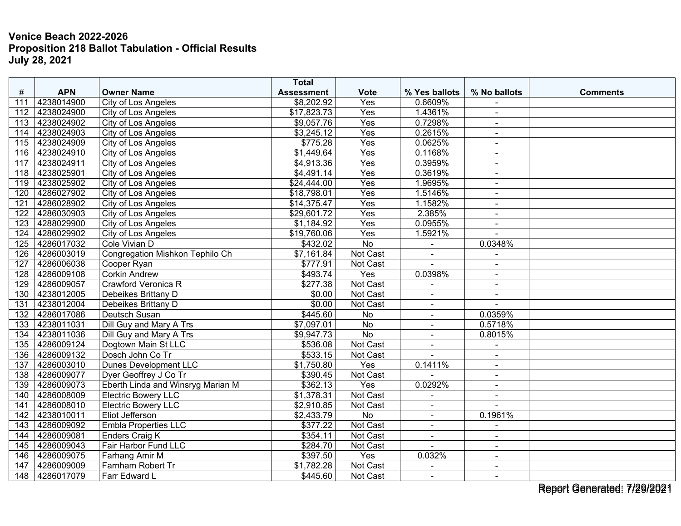| #   | <b>APN</b> | <b>Owner Name</b>                 | <b>Total</b><br><b>Assessment</b> | <b>Vote</b>      | % Yes ballots  | % No ballots   | <b>Comments</b> |
|-----|------------|-----------------------------------|-----------------------------------|------------------|----------------|----------------|-----------------|
| 111 | 4238014900 | City of Los Angeles               | \$8,202.92                        | Yes              | 0.6609%        |                |                 |
| 112 | 4238024900 | City of Los Angeles               | \$17,823.73                       | Yes              | 1.4361%        | $\blacksquare$ |                 |
| 113 | 4238024902 | City of Los Angeles               | \$9,057.76                        | Yes              | 0.7298%        | $\blacksquare$ |                 |
| 114 | 4238024903 | City of Los Angeles               | \$3,245.12                        | Yes              | 0.2615%        | $\blacksquare$ |                 |
| 115 | 4238024909 | City of Los Angeles               | \$775.28                          | Yes              | 0.0625%        | $\sim$         |                 |
| 116 | 4238024910 | City of Los Angeles               | \$1,449.64                        | $\overline{Yes}$ | 0.1168%        | $\sim$         |                 |
| 117 | 4238024911 | City of Los Angeles               | \$4,913.36                        | Yes              | 0.3959%        | $\sim$         |                 |
| 118 | 4238025901 | <b>City of Los Angeles</b>        | \$4,491.14                        | Yes              | 0.3619%        | $\blacksquare$ |                 |
| 119 | 4238025902 | <b>City of Los Angeles</b>        | \$24,444.00                       | Yes              | 1.9695%        | $\sim$         |                 |
| 120 | 4286027902 | City of Los Angeles               | \$18,798.01                       | Yes              | 1.5146%        | $\blacksquare$ |                 |
| 121 | 4286028902 | City of Los Angeles               | \$14,375.47                       | Yes              | 1.1582%        | $\blacksquare$ |                 |
| 122 | 4286030903 | City of Los Angeles               | \$29,601.72                       | Yes              | 2.385%         | $\sim$         |                 |
| 123 | 4288029900 | City of Los Angeles               | \$1,184.92                        | Yes              | 0.0955%        | $\sim$         |                 |
| 124 | 4286029902 | City of Los Angeles               | \$19,760.06                       | Yes              | 1.5921%        |                |                 |
| 125 | 4286017032 | Cole Vivian D                     | \$432.02                          | $\overline{No}$  | $\omega$       | 0.0348%        |                 |
| 126 | 4286003019 | Congregation Mishkon Tephilo Ch   | \$7,161.84                        | Not Cast         | $\sim$         | $\blacksquare$ |                 |
| 127 | 4286006038 | Cooper Ryan                       | \$777.91                          | Not Cast         |                | $\blacksquare$ |                 |
| 128 | 4286009108 | <b>Corkin Andrew</b>              | \$493.74                          | Yes              | 0.0398%        | $\blacksquare$ |                 |
| 129 | 4286009057 | Crawford Veronica R               | \$277.38                          | Not Cast         | $\blacksquare$ | $\blacksquare$ |                 |
| 130 | 4238012005 | Debeikes Brittany D               | \$0.00                            | Not Cast         | $\blacksquare$ | $\sim$         |                 |
| 131 | 4238012004 | Debeikes Brittany D               | \$0.00                            | Not Cast         |                |                |                 |
| 132 | 4286017086 | Deutsch Susan                     | \$445.60                          | No               | $\sim$         | 0.0359%        |                 |
| 133 | 4238011031 | Dill Guy and Mary A Trs           | \$7,097.01                        | No               | $\blacksquare$ | 0.5718%        |                 |
| 134 | 4238011036 | Dill Guy and Mary A Trs           | \$9,947.73                        | No               | $\blacksquare$ | 0.8015%        |                 |
| 135 | 4286009124 | Dogtown Main St LLC               | \$536.08                          | Not Cast         |                |                |                 |
| 136 | 4286009132 | Dosch John Co Tr                  | \$533.15                          | Not Cast         |                | $\blacksquare$ |                 |
| 137 | 4286003010 | <b>Dunes Development LLC</b>      | \$1,750.80                        | Yes              | 0.1411%        | $\sim$         |                 |
| 138 | 4286009077 | Dyer Geoffrey J Co Tr             | \$390.45                          | Not Cast         |                |                |                 |
| 139 | 4286009073 | Eberth Linda and Winsryg Marian M | \$362.13                          | Yes              | 0.0292%        | $\sim$         |                 |
| 140 | 4286008009 | <b>Electric Bowery LLC</b>        | \$1,378.31                        | Not Cast         | $\overline{a}$ | $\sim$         |                 |
| 141 | 4286008010 | <b>Electric Bowery LLC</b>        | \$2,910.85                        | Not Cast         | $\blacksquare$ |                |                 |
| 142 | 4238010011 | Eliot Jefferson                   | \$2,433.79                        | No               | $\blacksquare$ | 0.1961%        |                 |
| 143 | 4286009092 | <b>Embla Properties LLC</b>       | \$377.22                          | Not Cast         | $\sim$         | $\sim$         |                 |
| 144 | 4286009081 | Enders Craig K                    | \$354.11                          | Not Cast         | $\blacksquare$ | $\blacksquare$ |                 |
| 145 | 4286009043 | Fair Harbor Fund LLC              | \$284.70                          | Not Cast         |                |                |                 |
| 146 | 4286009075 | Farhang Amir M                    | \$397.50                          | Yes              | 0.032%         | $\blacksquare$ |                 |
| 147 | 4286009009 | Farnham Robert Tr                 | \$1,782.28                        | Not Cast         | $\blacksquare$ | $\sim$         |                 |
| 148 | 4286017079 | Farr Edward L                     | \$445.60                          | Not Cast         | $\blacksquare$ | $\sim$         |                 |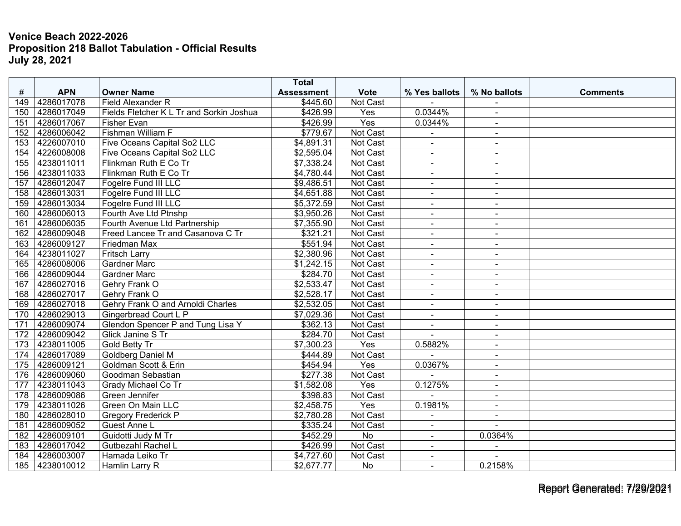|     |                |                                          | <b>Total</b>         |                 |                       |                          |                 |
|-----|----------------|------------------------------------------|----------------------|-----------------|-----------------------|--------------------------|-----------------|
| #   | <b>APN</b>     | <b>Owner Name</b>                        | <b>Assessment</b>    | <b>Vote</b>     | % Yes ballots         | % No ballots             | <b>Comments</b> |
| 149 | 4286017078     | Field Alexander R                        | \$445.60             | Not Cast        |                       |                          |                 |
| 150 | 4286017049     | Fields Fletcher K L Tr and Sorkin Joshua | \$426.99             | Yes             | 0.0344%               |                          |                 |
| 151 | 4286017067     | <b>Fisher Evan</b>                       | \$426.99             | Yes             | 0.0344%               | $\blacksquare$           |                 |
| 152 | 4286006042     | Fishman William F                        | \$779.67             | Not Cast        |                       | $\blacksquare$           |                 |
| 153 | 4226007010     | Five Oceans Capital So2 LLC              | \$4,891.31           | <b>Not Cast</b> | ÷.                    | $\sim$                   |                 |
| 154 | 4226008008     | Five Oceans Capital So2 LLC              | \$2,595.04           | Not Cast        | $\blacksquare$        | $\sim$                   |                 |
| 155 | 4238011011     | Flinkman Ruth E Co Tr                    | \$7,338.24           | Not Cast        | $\blacksquare$        | $\blacksquare$           |                 |
| 156 | 4238011033     | Flinkman Ruth E Co Tr                    | \$4,780.44           | <b>Not Cast</b> | $\tilde{\phantom{a}}$ | $\sim$                   |                 |
| 157 | 4286012047     | Fogelre Fund III LLC                     | \$9,486.51           | Not Cast        | $\blacksquare$        | $\blacksquare$           |                 |
| 158 | 4286013031     | Fogelre Fund III LLC                     | \$4,651.88           | Not Cast        | $\blacksquare$        | $\blacksquare$           |                 |
| 159 | 4286013034     | Fogelre Fund III LLC                     | \$5,372.59           | Not Cast        | $\blacksquare$        | $\sim$                   |                 |
| 160 | 4286006013     | Fourth Ave Ltd Ptnshp                    | \$3,950.26           | Not Cast        |                       | $\sim$                   |                 |
| 161 | 4286006035     | Fourth Avenue Ltd Partnership            | \$7,355.90           | Not Cast        | $\blacksquare$        | $\blacksquare$           |                 |
| 162 | 4286009048     | Freed Lancee Tr and Casanova C Tr        | \$321.21             | Not Cast        | $\blacksquare$        | $\sim$                   |                 |
| 163 | 4286009127     | Friedman Max                             | \$551.94             | <b>Not Cast</b> | $\blacksquare$        | $\blacksquare$           |                 |
| 164 | 4238011027     | <b>Fritsch Larry</b>                     | \$2,380.96           | Not Cast        | $\blacksquare$        | $\sim$                   |                 |
| 165 | 4286008006     | <b>Gardner Marc</b>                      | \$1,242.15           | Not Cast        | $\blacksquare$        | $\blacksquare$           |                 |
| 166 | 4286009044     | <b>Gardner Marc</b>                      | \$284.70             | Not Cast        | $\blacksquare$        | $\blacksquare$           |                 |
| 167 | 4286027016     | Gehry Frank O                            | \$2,533.47           | Not Cast        | $\blacksquare$        | $\sim$                   |                 |
| 168 | 4286027017     | Gehry Frank O                            | \$2,528.17           | Not Cast        | $\blacksquare$        | $\sim$                   |                 |
| 169 | 4286027018     | Gehry Frank O and Arnoldi Charles        | \$2,532.05           | Not Cast        | $\blacksquare$        | $\sim$                   |                 |
| 170 | 4286029013     | Gingerbread Court L P                    | \$7,029.36           | Not Cast        | $\blacksquare$        | $\sim$                   |                 |
| 171 | 4286009074     | <b>Glendon Spencer P and Tung Lisa Y</b> | \$362.13             | Not Cast        | ÷.                    | $\blacksquare$           |                 |
| 172 | 4286009042     | <b>Glick Janine S Tr</b>                 | \$284.70             | Not Cast        | $\mathbf{r}$          | $\blacksquare$           |                 |
| 173 | 4238011005     | Gold Betty Tr                            | \$7,300.23           | Yes             | 0.5882%               | $\blacksquare$           |                 |
| 174 | 4286017089     | Goldberg Daniel M                        | \$444.89             | Not Cast        |                       | $\blacksquare$           |                 |
| 175 | 4286009121     | Goldman Scott & Erin                     | \$454.94             | Yes             | 0.0367%               | $\blacksquare$           |                 |
| 176 | 4286009060     | Goodman Sebastian                        | \$277.38             | Not Cast        |                       | $\blacksquare$           |                 |
| 177 | 4238011043     | Grady Michael Co Tr                      | \$1,582.08           | Yes             | 0.1275%               | $\overline{\phantom{a}}$ |                 |
| 178 | 4286009086     | Green Jennifer                           | \$398.83             | Not Cast        | $\overline{a}$        | $\sim$                   |                 |
| 179 | 4238011026     | Green On Main LLC                        | \$2,458.75           | Yes             | 0.1981%               | $\blacksquare$           |                 |
| 180 | 4286028010     | <b>Gregory Frederick P</b>               | \$2,780.28           | Not Cast        |                       | $\sim$                   |                 |
| 181 | 4286009052     | Guest Anne L                             | \$335.24             | Not Cast        |                       |                          |                 |
| 182 | 4286009101     | Guidotti Judy M Tr                       | $\overline{$452.29}$ | <b>No</b>       | $\blacksquare$        | 0.0364%                  |                 |
| 183 | 4286017042     | <b>Gutbezahl Rachel L</b>                | \$426.99             | Not Cast        | $\blacksquare$        |                          |                 |
| 184 | 4286003007     | Hamada Leiko Tr                          | \$4,727.60           | Not Cast        | $\blacksquare$        |                          |                 |
|     | 185 4238010012 | Hamlin Larry R                           | \$2,677.77           | No              | $\blacksquare$        | 0.2158%                  |                 |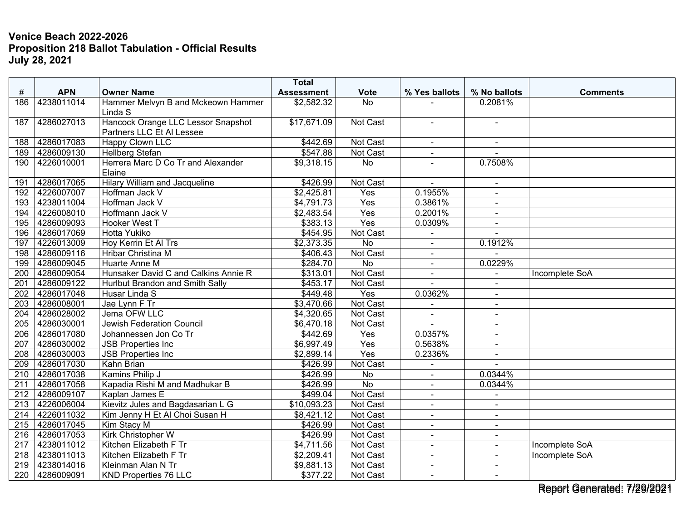|                  |            |                                                                 | <b>Total</b>      |                 |                |                          |                 |
|------------------|------------|-----------------------------------------------------------------|-------------------|-----------------|----------------|--------------------------|-----------------|
| #                | <b>APN</b> | <b>Owner Name</b>                                               | <b>Assessment</b> | <b>Vote</b>     | % Yes ballots  | % No ballots             | <b>Comments</b> |
| 186              | 4238011014 | Hammer Melvyn B and Mckeown Hammer<br>Linda S                   | \$2,582.32        | No              |                | 0.2081%                  |                 |
|                  |            |                                                                 |                   |                 |                |                          |                 |
| 187              | 4286027013 | Hancock Orange LLC Lessor Snapshot<br>Partners LLC Et Al Lessee | \$17,671.09       | Not Cast        | $\blacksquare$ | $\blacksquare$           |                 |
| 188              | 4286017083 | Happy Clown LLC                                                 | \$442.69          | Not Cast        | $\blacksquare$ | $\sim$                   |                 |
| 189              | 4286009130 | <b>Hellberg Stefan</b>                                          | \$547.88          | <b>Not Cast</b> | $\blacksquare$ |                          |                 |
| 190              | 4226010001 | Herrera Marc D Co Tr and Alexander                              | \$9,318.15        | No              |                | 0.7508%                  |                 |
|                  |            | Elaine                                                          |                   |                 |                |                          |                 |
| 191              | 4286017065 | <b>Hilary William and Jacqueline</b>                            | \$426.99          | Not Cast        |                | $\blacksquare$           |                 |
| 192              | 4226007007 | Hoffman Jack V                                                  | \$2,425.81        | Yes             | 0.1955%        | $\sim$                   |                 |
| 193              | 4238011004 | Hoffman Jack V                                                  | \$4,791.73        | Yes             | 0.3861%        | $\sim$                   |                 |
| 194              | 4226008010 | Hoffmann Jack V                                                 | \$2,483.54        | Yes             | 0.2001%        | $\blacksquare$           |                 |
| 195              | 4286009093 | Hooker West T                                                   | \$383.13          | Yes             | 0.0309%        | $\sim$                   |                 |
| 196              | 4286017069 | <b>Hotta Yukiko</b>                                             | \$454.95          | <b>Not Cast</b> |                |                          |                 |
| 197              | 4226013009 | Hoy Kerrin Et Al Trs                                            | \$2,373.35        | $\overline{No}$ | $\blacksquare$ | 0.1912%                  |                 |
| 198              | 4286009116 | Hribar Christina M                                              | \$406.43          | Not Cast        | $\blacksquare$ |                          |                 |
| 199              | 4286009045 | Huarte Anne M                                                   | \$284.70          | <b>No</b>       | $\blacksquare$ | 0.0229%                  |                 |
| 200              | 4286009054 | Hunsaker David C and Calkins Annie R                            | \$313.01          | Not Cast        | $\blacksquare$ |                          | Incomplete SoA  |
| 201              | 4286009122 | Hurlbut Brandon and Smith Sally                                 | \$453.17          | Not Cast        | $\overline{a}$ | $\sim$                   |                 |
| 202              | 4286017048 | Husar Linda S                                                   | \$449.48          | Yes             | 0.0362%        | $\blacksquare$           |                 |
| $\overline{203}$ | 4286008001 | Jae Lynn F Tr                                                   | \$3,470.66        | Not Cast        |                |                          |                 |
| 204              | 4286028002 | Jema OFW LLC                                                    | \$4,320.65        | Not Cast        | $\blacksquare$ | $\sim$                   |                 |
| 205              | 4286030001 | Jewish Federation Council                                       | \$6,470.18        | Not Cast        | $\overline{a}$ | $\sim$                   |                 |
| $\overline{206}$ | 4286017080 | Johannessen Jon Co Tr                                           | \$442.69          | Yes             | 0.0357%        | $\overline{\phantom{a}}$ |                 |
| 207              | 4286030002 | <b>JSB Properties Inc</b>                                       | \$6,997.49        | Yes             | 0.5638%        | $\sim$                   |                 |
| 208              | 4286030003 | <b>JSB Properties Inc</b>                                       | \$2,899.14        | Yes             | 0.2336%        | $\sim$                   |                 |
| 209              | 4286017030 | <b>Kahn Brian</b>                                               | \$426.99          | Not Cast        | $\blacksquare$ |                          |                 |
| 210              | 4286017038 | Kamins Philip J                                                 | \$426.99          | No              |                | 0.0344%                  |                 |
| 211              | 4286017058 | Kapadia Rishi M and Madhukar B                                  | \$426.99          | <b>No</b>       | $\blacksquare$ | 0.0344%                  |                 |
| 212              | 4286009107 | Kaplan James E                                                  | \$499.04          | Not Cast        | $\blacksquare$ | $\sim$                   |                 |
| 213              | 4226006004 | Kievitz Jules and Bagdasarian L G                               | \$10,093.23       | Not Cast        | $\blacksquare$ | $\sim$                   |                 |
| 214              | 4226011032 | Kim Jenny H Et Al Choi Susan H                                  | \$8,421.12        | Not Cast        | $\blacksquare$ | $\blacksquare$           |                 |
| 215              | 4286017045 | Kim Stacy M                                                     | \$426.99          | Not Cast        | $\blacksquare$ | $\blacksquare$           |                 |
| 216              | 4286017053 | Kirk Christopher W                                              | \$426.99          | Not Cast        | $\blacksquare$ | $\sim$                   |                 |
| 217              | 4238011012 | Kitchen Elizabeth F Tr                                          | \$4,711.56        | Not Cast        | $\blacksquare$ |                          | Incomplete SoA  |
| 218              | 4238011013 | Kitchen Elizabeth F Tr                                          | \$2,209.41        | Not Cast        | $\blacksquare$ | $\sim$                   | Incomplete SoA  |
| 219              | 4238014016 | Kleinman Alan N Tr                                              | \$9,881.13        | Not Cast        | $\blacksquare$ | $\blacksquare$           |                 |
| 220              | 4286009091 | KND Properties 76 LLC                                           | \$377.22          | Not Cast        | $\blacksquare$ | $\blacksquare$           |                 |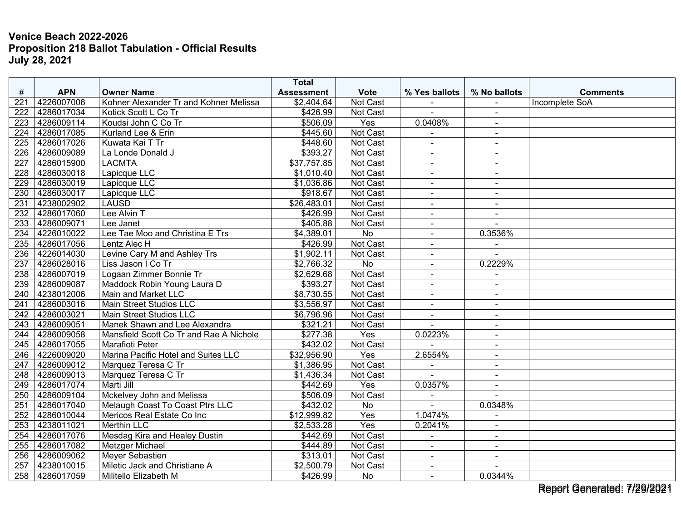|                  |            |                                         | <b>Total</b>      |                 |                      |                          |                 |
|------------------|------------|-----------------------------------------|-------------------|-----------------|----------------------|--------------------------|-----------------|
| $\#$             | <b>APN</b> | <b>Owner Name</b>                       | <b>Assessment</b> | <b>Vote</b>     | % Yes ballots        | % No ballots             | <b>Comments</b> |
| 221              | 4226007006 | Kohner Alexander Tr and Kohner Melissa  | \$2,404.64        | Not Cast        |                      |                          | Incomplete SoA  |
| 222              | 4286017034 | Kotick Scott L Co Tr                    | \$426.99          | Not Cast        | $\blacksquare$       | $\blacksquare$           |                 |
| 223              | 4286009114 | Koudsi John C Co Tr                     | \$506.09          | Yes             | 0.0408%              | $\blacksquare$           |                 |
| 224              | 4286017085 | Kurland Lee & Erin                      | \$445.60          | Not Cast        |                      | $\blacksquare$           |                 |
| 225              | 4286017026 | Kuwata Kai T Tr                         | \$448.60          | Not Cast        | $\blacksquare$       | $\blacksquare$           |                 |
| 226              | 4286009089 | La Londe Donald J                       | \$393.27          | <b>Not Cast</b> | $\blacksquare$       | $\blacksquare$           |                 |
| 227              | 4286015900 | <b>LACMTA</b>                           | \$37,757.85       | Not Cast        |                      | $\blacksquare$           |                 |
| 228              | 4286030018 | Lapicque LLC                            | \$1,010.40        | Not Cast        | $\overline{a}$       | $\overline{a}$           |                 |
| 229              | 4286030019 | Lapicque LLC                            | \$1,036.86        | <b>Not Cast</b> | $\blacksquare$       | $\blacksquare$           |                 |
| 230              | 4286030017 | Lapicque LLC                            | \$918.67          | Not Cast        | $\blacksquare$       | $\blacksquare$           |                 |
| 231              | 4238002902 | <b>LAUSD</b>                            | \$26,483.01       | <b>Not Cast</b> | $\blacksquare$       | $\sim$                   |                 |
| $\overline{232}$ | 4286017060 | Lee Alvin T                             | \$426.99          | Not Cast        | $\blacksquare$       | $\sim$                   |                 |
| 233              | 4286009071 | Lee Janet                               | \$405.88          | Not Cast        | $\blacksquare$       |                          |                 |
| 234              | 4226010022 | Lee Tae Moo and Christina E Trs         | \$4,389.01        | <b>No</b>       | ä,                   | 0.3536%                  |                 |
| 235              | 4286017056 | Lentz Alec H                            | \$426.99          | Not Cast        | $\mathbf{r}$         | $\blacksquare$           |                 |
| 236              | 4226014030 | Levine Cary M and Ashley Trs            | \$1,902.11        | Not Cast        | $\blacksquare$       |                          |                 |
| 237              | 4286028016 | Liss Jason I Co Tr                      | \$2,766.32        | No              | $\blacksquare$       | 0.2229%                  |                 |
| 238              | 4286007019 | Logaan Zimmer Bonnie Tr                 | \$2,629.68        | Not Cast        | $\blacksquare$       |                          |                 |
| 239              | 4286009087 | Maddock Robin Young Laura D             | \$393.27          | Not Cast        | $\blacksquare$       | $\blacksquare$           |                 |
| 240              | 4238012006 | Main and Market LLC                     | \$8,730.55        | Not Cast        | $\blacksquare$       | $\blacksquare$           |                 |
| 241              | 4286003016 | <b>Main Street Studios LLC</b>          | \$3,556.97        | Not Cast        |                      |                          |                 |
| 242              | 4286003021 | Main Street Studios LLC                 | \$6,796.96        | Not Cast        | $\blacksquare$       | $\blacksquare$           |                 |
| 243              | 4286009051 | Manek Shawn and Lee Alexandra           | \$321.21          | Not Cast        | $\overline{a}$       | $\blacksquare$           |                 |
| 244              | 4286009058 | Mansfield Scott Co Tr and Rae A Nichole | \$277.38          | Yes             | 0.0223%              | $\blacksquare$           |                 |
| 245              | 4286017055 | <b>Marafioti Peter</b>                  | \$432.02          | Not Cast        |                      | $\blacksquare$           |                 |
| 246              | 4226009020 | Marina Pacific Hotel and Suites LLC     | \$32,956.90       | Yes             | 2.6554%              | $\blacksquare$           |                 |
| 247              | 4286009012 | Marquez Teresa C Tr                     | \$1,386.95        | Not Cast        | $\ddot{\phantom{1}}$ | $\overline{\phantom{a}}$ |                 |
| 248              | 4286009013 | Marquez Teresa C Tr                     | \$1,436.34        | Not Cast        |                      |                          |                 |
| 249              | 4286017074 | Marti Jill                              | \$442.69          | Yes             | 0.0357%              | $\blacksquare$           |                 |
| 250              | 4286009104 | Mckelvey John and Melissa               | \$506.09          | Not Cast        | $\blacksquare$       | $\sim$                   |                 |
| 251              | 4286017040 | Melaugh Coast To Coast Ptrs LLC         | \$432.02          | No              |                      | 0.0348%                  |                 |
| 252              | 4286010044 | Mericos Real Estate Co Inc              | \$12,999.82       | Yes             | 1.0474%              |                          |                 |
| 253              | 4238011021 | <b>Merthin LLC</b>                      | \$2,533.28        | Yes             | 0.2041%              | $\sim$                   |                 |
| 254              | 4286017076 | Mesdag Kira and Healey Dustin           | \$442.69          | Not Cast        | L.                   | $\sim$                   |                 |
| 255              | 4286017082 | Metzger Michael                         | \$444.89          | Not Cast        | $\overline{a}$       | $\blacksquare$           |                 |
| 256              | 4286009062 | <b>Meyer Sebastien</b>                  | \$313.01          | Not Cast        | $\blacksquare$       | $\sim$                   |                 |
| 257              | 4238010015 | Miletic Jack and Christiane A           | \$2,500.79        | Not Cast        | $\blacksquare$       | $\ddot{\phantom{1}}$     |                 |
| 258              | 4286017059 | Militello Elizabeth M                   | \$426.99          | No              | $\blacksquare$       | 0.0344%                  |                 |

Report Generated: 7/29/2021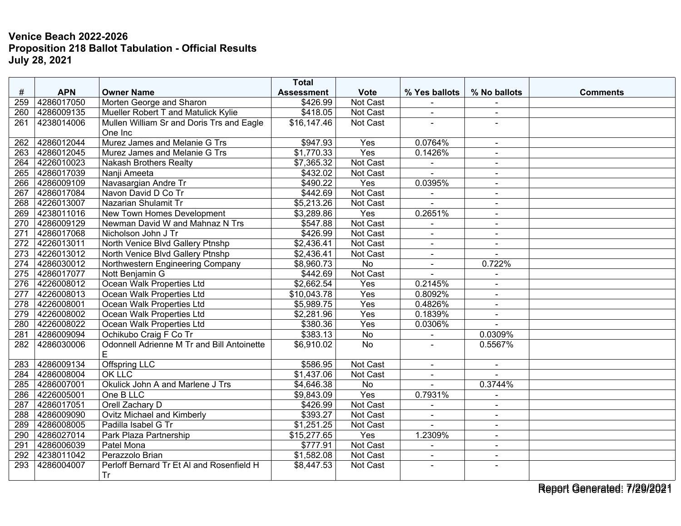| $\#$<br><b>APN</b><br><b>Owner Name</b><br><b>Vote</b><br>% Yes ballots<br>% No ballots<br><b>Assessment</b><br><b>Comments</b><br>259<br>4286017050<br>Morten George and Sharon<br>\$426.99<br>Not Cast<br>4286009135<br>Mueller Robert T and Matulick Kylie<br>\$418.05<br><b>Not Cast</b><br>260<br>$\sim$<br>$\sim$<br>Mullen William Sr and Doris Trs and Eagle<br>261<br>4238014006<br>\$16,147.46<br>Not Cast<br>÷.<br>One Inc<br>4286012044<br>Murez James and Melanie G Trs<br>Yes |  |
|---------------------------------------------------------------------------------------------------------------------------------------------------------------------------------------------------------------------------------------------------------------------------------------------------------------------------------------------------------------------------------------------------------------------------------------------------------------------------------------------|--|
|                                                                                                                                                                                                                                                                                                                                                                                                                                                                                             |  |
|                                                                                                                                                                                                                                                                                                                                                                                                                                                                                             |  |
|                                                                                                                                                                                                                                                                                                                                                                                                                                                                                             |  |
|                                                                                                                                                                                                                                                                                                                                                                                                                                                                                             |  |
|                                                                                                                                                                                                                                                                                                                                                                                                                                                                                             |  |
| \$947.93<br>0.0764%<br>262<br>$\blacksquare$<br>Yes                                                                                                                                                                                                                                                                                                                                                                                                                                         |  |
| 4286012045<br>0.1426%<br>263<br>Murez James and Melanie G Trs<br>\$1,770.33<br>$\blacksquare$                                                                                                                                                                                                                                                                                                                                                                                               |  |
| 4226010023<br>\$7,365.32<br>Not Cast<br>264<br><b>Nakash Brothers Realty</b><br>$\blacksquare$<br>4286017039<br>\$432.02                                                                                                                                                                                                                                                                                                                                                                    |  |
| Not Cast<br>265<br>Nanji Ameeta                                                                                                                                                                                                                                                                                                                                                                                                                                                             |  |
| 4286009109<br>Navasargian Andre Tr<br>\$490.22<br>Yes<br>0.0395%<br>266<br>$\sim$                                                                                                                                                                                                                                                                                                                                                                                                           |  |
| 4286017084<br>Not Cast<br>267<br>Navon David D Co Tr<br>\$442.69<br>$\blacksquare$<br>$\blacksquare$                                                                                                                                                                                                                                                                                                                                                                                        |  |
| 268<br>4226013007<br>Nazarian Shulamit Tr<br>\$5,213.26<br>Not Cast<br>$\overline{\phantom{a}}$                                                                                                                                                                                                                                                                                                                                                                                             |  |
| 4238011016<br>\$3,289.86<br>Yes<br>0.2651%<br>269<br>New Town Homes Development<br>$\blacksquare$                                                                                                                                                                                                                                                                                                                                                                                           |  |
| 270<br>4286009129<br>\$547.88<br>Not Cast<br>Newman David W and Mahnaz N Trs<br>$\sim$                                                                                                                                                                                                                                                                                                                                                                                                      |  |
| 4286017068<br>\$426.99<br>Not Cast<br>Nicholson John J Tr<br>271<br>$\blacksquare$<br>$\blacksquare$                                                                                                                                                                                                                                                                                                                                                                                        |  |
| 4226013011<br>\$2,436.41<br>Not Cast<br>272<br>North Venice Blvd Gallery Ptnshp                                                                                                                                                                                                                                                                                                                                                                                                             |  |
| 4226013012<br>\$2,436.41<br>273<br>North Venice Blvd Gallery Ptnshp<br>Not Cast<br>$\blacksquare$<br>$\sim$                                                                                                                                                                                                                                                                                                                                                                                 |  |
| 4286030012<br>274<br>Northwestern Engineering Company<br>\$8,960.73<br>$\overline{No}$<br>0.722%<br>$\blacksquare$                                                                                                                                                                                                                                                                                                                                                                          |  |
| 4286017077<br>Nott Benjamin G<br>Not Cast<br>275<br>\$442.69<br>ä,<br>$\blacksquare$                                                                                                                                                                                                                                                                                                                                                                                                        |  |
| \$2,662.54<br>4226008012<br>Ocean Walk Properties Ltd<br>276<br>Yes<br>0.2145%                                                                                                                                                                                                                                                                                                                                                                                                              |  |
| Yes<br>$\overline{277}$<br>4226008013<br>Ocean Walk Properties Ltd<br>\$10,043.78<br>0.8092%<br>$\blacksquare$                                                                                                                                                                                                                                                                                                                                                                              |  |
| Yes<br>0.4826%<br>4226008001<br>Ocean Walk Properties Ltd<br>\$5,989.75<br>278<br>$\blacksquare$                                                                                                                                                                                                                                                                                                                                                                                            |  |
| Ocean Walk Properties Ltd<br>\$2,281.96<br>0.1839%<br>279<br>4226008002<br>Yes                                                                                                                                                                                                                                                                                                                                                                                                              |  |
| 4226008022<br>Ocean Walk Properties Ltd<br>\$380.36<br>Yes<br>0.0306%<br>280<br>$\sim$                                                                                                                                                                                                                                                                                                                                                                                                      |  |
| 4286009094<br>Ochikubo Craig F Co Tr<br>\$383.13<br>0.0309%<br>281<br>No<br>$\blacksquare$                                                                                                                                                                                                                                                                                                                                                                                                  |  |
| Odonnell Adrienne M Tr and Bill Antoinette<br>4286030006<br>\$6,910.02<br>No<br>0.5567%<br>282                                                                                                                                                                                                                                                                                                                                                                                              |  |
| E                                                                                                                                                                                                                                                                                                                                                                                                                                                                                           |  |
| 4286009134<br>Not Cast<br><b>Offspring LLC</b><br>\$586.95<br>283<br>$\sim$<br>$\blacksquare$                                                                                                                                                                                                                                                                                                                                                                                               |  |
| 4286008004<br><b>OK LLC</b><br>\$1,437.06<br>Not Cast<br>284<br>$\sim$                                                                                                                                                                                                                                                                                                                                                                                                                      |  |
| 4286007001<br>Okulick John A and Marlene J Trs<br>\$4,646.38<br>No<br>0.3744%<br>285                                                                                                                                                                                                                                                                                                                                                                                                        |  |
| 4226005001<br>One B LLC<br>\$9,843.09<br>Yes<br>0.7931%<br>286                                                                                                                                                                                                                                                                                                                                                                                                                              |  |
| 4286017051<br>Orell Zachary D<br>\$426.99<br>Not Cast<br>287<br>$\overline{a}$<br>$\sim$                                                                                                                                                                                                                                                                                                                                                                                                    |  |
| <b>Ovitz Michael and Kimberly</b><br>4286009090<br>\$393.27<br>Not Cast<br>288<br>$\blacksquare$<br>$\blacksquare$                                                                                                                                                                                                                                                                                                                                                                          |  |
| 289<br>4286008005<br>Padilla Isabel G Tr<br>\$1,251.25<br>Not Cast<br>$\sim$                                                                                                                                                                                                                                                                                                                                                                                                                |  |
| 4286027014<br>\$15,277.65<br>290<br>Park Plaza Partnership<br>Yes<br>1.2309%<br>$\blacksquare$                                                                                                                                                                                                                                                                                                                                                                                              |  |
| 4286006039<br>Patel Mona<br>\$777.91<br>Not Cast<br>291<br>$\blacksquare$<br>$\sim$                                                                                                                                                                                                                                                                                                                                                                                                         |  |
| 4238011042<br>\$1,582.08<br>Not Cast<br>292<br>Perazzolo Brian<br>$\blacksquare$<br>$\blacksquare$                                                                                                                                                                                                                                                                                                                                                                                          |  |
| Perloff Bernard Tr Et AI and Rosenfield H<br>$\overline{293}$<br>4286004007<br>\$8,447.53<br>Not Cast<br>$\sim$                                                                                                                                                                                                                                                                                                                                                                             |  |
| <b>Tr</b>                                                                                                                                                                                                                                                                                                                                                                                                                                                                                   |  |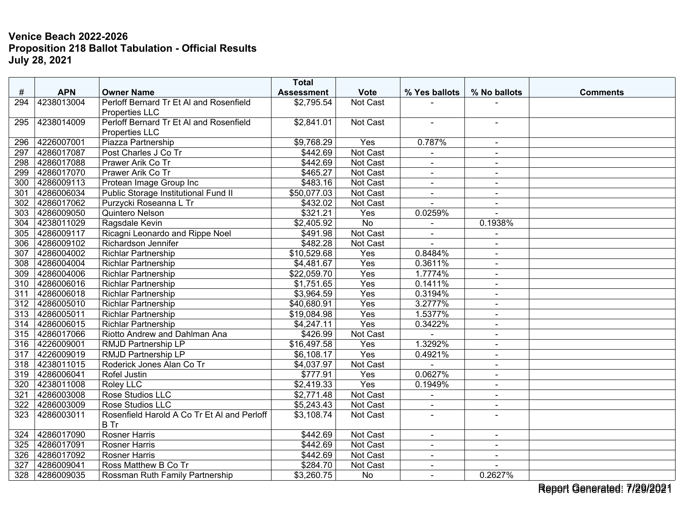|                  |            |                                                            | <b>Total</b>      |                  |                |                |                 |
|------------------|------------|------------------------------------------------------------|-------------------|------------------|----------------|----------------|-----------------|
| #                | <b>APN</b> | <b>Owner Name</b>                                          | <b>Assessment</b> | <b>Vote</b>      | % Yes ballots  | % No ballots   | <b>Comments</b> |
| 294              | 4238013004 | Perloff Bernard Tr Et AI and Rosenfield<br>Properties LLC  | \$2,795.54        | Not Cast         |                |                |                 |
| 295              | 4238014009 | Perloff Bernard Tr Et AI and Rosenfield<br>Properties LLC  | \$2,841.01        | Not Cast         | $\blacksquare$ | $\blacksquare$ |                 |
| 296              | 4226007001 | Piazza Partnership                                         | \$9,768.29        | Yes              | 0.787%         | $\sim$         |                 |
| 297              | 4286017087 | Post Charles J Co Tr                                       | \$442.69          | Not Cast         |                |                |                 |
| $\overline{298}$ | 4286017088 | Prawer Arik Co Tr                                          | \$442.69          | Not Cast         | $\mathbf{r}$   | $\sim$         |                 |
| 299              | 4286017070 | Prawer Arik Co Tr                                          | \$465.27          | Not Cast         | $\sim$         | $\sim$         |                 |
| 300              | 4286009113 | Protean Image Group Inc                                    | \$483.16          | Not Cast         | $\blacksquare$ | $\blacksquare$ |                 |
| 301              | 4286006034 | Public Storage Institutional Fund II                       | \$50,077.03       | Not Cast         | $\blacksquare$ | $\sim$         |                 |
| 302              | 4286017062 | Purzycki Roseanna L Tr                                     | \$432.02          | Not Cast         | $\sim$         | $\blacksquare$ |                 |
| 303              | 4286009050 | Quintero Nelson                                            | \$321.21          | Yes              | 0.0259%        |                |                 |
| 304              | 4238011029 | Ragsdale Kevin                                             | \$2,405.92        | $\overline{No}$  |                | 0.1938%        |                 |
| 305              | 4286009117 | Ricagni Leonardo and Rippe Noel                            | \$491.98          | Not Cast         | $\overline{a}$ |                |                 |
| 306              | 4286009102 | Richardson Jennifer                                        | \$482.28          | <b>Not Cast</b>  | $\overline{a}$ | $\blacksquare$ |                 |
| 307              | 4286004002 | <b>Richlar Partnership</b>                                 | \$10,529.68       | Yes              | 0.8484%        | $\blacksquare$ |                 |
| 308              | 4286004004 | <b>Richlar Partnership</b>                                 | \$4,481.67        | Yes              | 0.3611%        | $\blacksquare$ |                 |
| 309              | 4286004006 | <b>Richlar Partnership</b>                                 | \$22,059.70       | Yes              | 1.7774%        | $\blacksquare$ |                 |
| 310              | 4286006016 | <b>Richlar Partnership</b>                                 | \$1,751.65        | $\overline{Yes}$ | 0.1411%        | $\sim$         |                 |
| 311              | 4286006018 | <b>Richlar Partnership</b>                                 | \$3,964.59        | Yes              | 0.3194%        | $\sim$         |                 |
| 312              | 4286005010 | <b>Richlar Partnership</b>                                 | \$40,680.91       | Yes              | 3.2777%        | $\sim$         |                 |
| 313              | 4286005011 | <b>Richlar Partnership</b>                                 | \$19,084.98       | Yes              | 1.5377%        | $\blacksquare$ |                 |
| 314              | 4286006015 | <b>Richlar Partnership</b>                                 | \$4,247.11        | Yes              | 0.3422%        | $\blacksquare$ |                 |
| 315              | 4286017066 | Riotto Andrew and Dahlman Ana                              | \$426.99          | Not Cast         |                | $\sim$         |                 |
| 316              | 4226009001 | <b>RMJD Partnership LP</b>                                 | \$16,497.58       | Yes              | 1.3292%        | $\blacksquare$ |                 |
| 317              | 4226009019 | <b>RMJD Partnership LP</b>                                 | \$6,108.17        | Yes              | 0.4921%        | $\sim$         |                 |
| 318              | 4238011015 | Roderick Jones Alan Co Tr                                  | \$4,037.97        | Not Cast         |                | $\sim$         |                 |
| 319              | 4286006041 | Rofel Justin                                               | \$777.91          | Yes              | 0.0627%        | $\sim$         |                 |
| 320              | 4238011008 | Roley LLC                                                  | \$2,419.33        | Yes              | 0.1949%        | $\sim$         |                 |
| 321              | 4286003008 | Rose Studios LLC                                           | \$2,771.48        | Not Cast         | $\blacksquare$ | $\blacksquare$ |                 |
| 322              | 4286003009 | Rose Studios LLC                                           | \$5,243.43        | Not Cast         |                | $\blacksquare$ |                 |
| 323              | 4286003011 | Rosenfield Harold A Co Tr Et Al and Perloff<br><b>B</b> Tr | \$3,108.74        | Not Cast         | $\blacksquare$ | $\sim$         |                 |
| 324              | 4286017090 | <b>Rosner Harris</b>                                       | \$442.69          | Not Cast         | $\blacksquare$ | $\sim$         |                 |
| 325              | 4286017091 | <b>Rosner Harris</b>                                       | \$442.69          | Not Cast         |                |                |                 |
| 326              | 4286017092 | <b>Rosner Harris</b>                                       | \$442.69          | Not Cast         | $\sim$         | $\sim$         |                 |
| 327              | 4286009041 | Ross Matthew B Co Tr                                       | \$284.70          | Not Cast         | $\sim$         |                |                 |
| 328              | 4286009035 | Rossman Ruth Family Partnership                            | \$3,260.75        | No               |                | 0.2627%        |                 |

Report Generated: 7/29/2021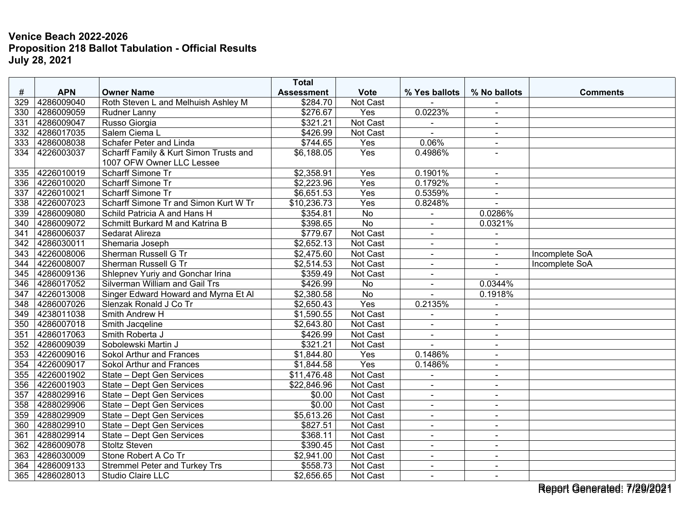|      |            |                                        | <b>Total</b>      |                  |                |                          |                 |
|------|------------|----------------------------------------|-------------------|------------------|----------------|--------------------------|-----------------|
| $\#$ | <b>APN</b> | <b>Owner Name</b>                      | <b>Assessment</b> | <b>Vote</b>      | % Yes ballots  | % No ballots             | <b>Comments</b> |
| 329  | 4286009040 | Roth Steven L and Melhuish Ashley M    | \$284.70          | Not Cast         |                |                          |                 |
| 330  | 4286009059 | <b>Rudner Lanny</b>                    | \$276.67          | Yes              | 0.0223%        | $\blacksquare$           |                 |
| 331  | 4286009047 | Russo Giorgia                          | \$321.21          | Not Cast         |                | $\sim$                   |                 |
| 332  | 4286017035 | Salem Ciema L                          | \$426.99          | Not Cast         |                |                          |                 |
| 333  | 4286008038 | Schafer Peter and Linda                | \$744.65          | Yes              | 0.06%          | $\blacksquare$           |                 |
| 334  | 4226003037 | Scharff Family & Kurt Simon Trusts and | \$6,188.05        | Yes              | 0.4986%        |                          |                 |
|      |            | 1007 OFW Owner LLC Lessee              |                   |                  |                |                          |                 |
| 335  | 4226010019 | Scharff Simone Tr                      | \$2,358.91        | Yes              | 0.1901%        | $\sim$                   |                 |
| 336  | 4226010020 | <b>Scharff Simone Tr</b>               | \$2,223.96        | Yes              | 0.1792%        | $\blacksquare$           |                 |
| 337  | 4226010021 | Scharff Simone Tr                      | \$6,651.53        | Yes              | 0.5359%        | $\blacksquare$           |                 |
| 338  | 4226007023 | Scharff Simone Tr and Simon Kurt W Tr  | \$10,236.73       | $\overline{Yes}$ | 0.8248%        | $\sim$                   |                 |
| 339  | 4286009080 | Schild Patricia A and Hans H           | \$354.81          | <b>No</b>        |                | 0.0286%                  |                 |
| 340  | 4286009072 | Schmitt Burkard M and Katrina B        | \$398.65          | No               |                | 0.0321%                  |                 |
| 341  | 4286006037 | Sedarat Alireza                        | \$779.67          | Not Cast         |                |                          |                 |
| 342  | 4286030011 | Shemaria Joseph                        | \$2,652.13        | Not Cast         | $\blacksquare$ | $\blacksquare$           |                 |
| 343  | 4226008006 | <b>Sherman Russell G Tr</b>            | \$2,475.60        | Not Cast         | $\blacksquare$ | $\blacksquare$           | Incomplete SoA  |
| 344  | 4226008007 | <b>Sherman Russell G Tr</b>            | \$2,514.53        | Not Cast         | $\blacksquare$ |                          | Incomplete SoA  |
| 345  | 4286009136 | Shlepnev Yuriy and Gonchar Irina       | \$359.49          | Not Cast         | $\blacksquare$ |                          |                 |
| 346  | 4286017052 | Silverman William and Gail Trs         | \$426.99          | No               | $\blacksquare$ | 0.0344%                  |                 |
| 347  | 4226013008 | Singer Edward Howard and Myrna Et Al   | \$2,380.58        | No               |                | 0.1918%                  |                 |
| 348  | 4286007026 | Slenzak Ronald J Co Tr                 | \$2,650.43        | Yes              | 0.2135%        |                          |                 |
| 349  | 4238011038 | Smith Andrew H                         | \$1,590.55        | Not Cast         |                | $\overline{\phantom{a}}$ |                 |
| 350  | 4286007018 | Smith Jacqeline                        | \$2,643.80        | Not Cast         | $\blacksquare$ | $\blacksquare$           |                 |
| 351  | 4286017063 | Smith Roberta J                        | \$426.99          | Not Cast         | $\blacksquare$ | $\sim$                   |                 |
| 352  | 4286009039 | Sobolewski Martin J                    | \$321.21          | Not Cast         |                | $\blacksquare$           |                 |
| 353  | 4226009016 | Sokol Arthur and Frances               | \$1,844.80        | Yes              | 0.1486%        | $\blacksquare$           |                 |
| 354  | 4226009017 | Sokol Arthur and Frances               | \$1,844.58        | Yes              | 0.1486%        | $\sim$                   |                 |
| 355  | 4226001902 | State - Dept Gen Services              | \$11,476.48       | Not Cast         |                |                          |                 |
| 356  | 4226001903 | State - Dept Gen Services              | \$22,846.96       | Not Cast         | $\blacksquare$ | $\blacksquare$           |                 |
| 357  | 4288029916 | State - Dept Gen Services              | \$0.00            | Not Cast         | $\blacksquare$ | $\sim$                   |                 |
| 358  | 4288029906 | State - Dept Gen Services              | \$0.00            | Not Cast         | $\blacksquare$ | $\sim$                   |                 |
| 359  | 4288029909 | State - Dept Gen Services              | \$5,613.26        | Not Cast         | $\blacksquare$ | $\blacksquare$           |                 |
| 360  | 4288029910 | State - Dept Gen Services              | \$827.51          | Not Cast         | $\blacksquare$ | $\sim$                   |                 |
| 361  | 4288029914 | State - Dept Gen Services              | \$368.11          | Not Cast         | $\blacksquare$ | $\sim$                   |                 |
| 362  | 4286009078 | <b>Stoltz Steven</b>                   | \$390.45          | Not Cast         |                | $\blacksquare$           |                 |
| 363  | 4286030009 | Stone Robert A Co Tr                   | \$2,941.00        | Not Cast         | $\blacksquare$ | $\sim$                   |                 |
| 364  | 4286009133 | <b>Stremmel Peter and Turkey Trs</b>   | \$558.73          | Not Cast         | $\sim$         | $\blacksquare$           |                 |
| 365  | 4286028013 | <b>Studio Claire LLC</b>               | \$2,656.65        | Not Cast         | $\blacksquare$ |                          |                 |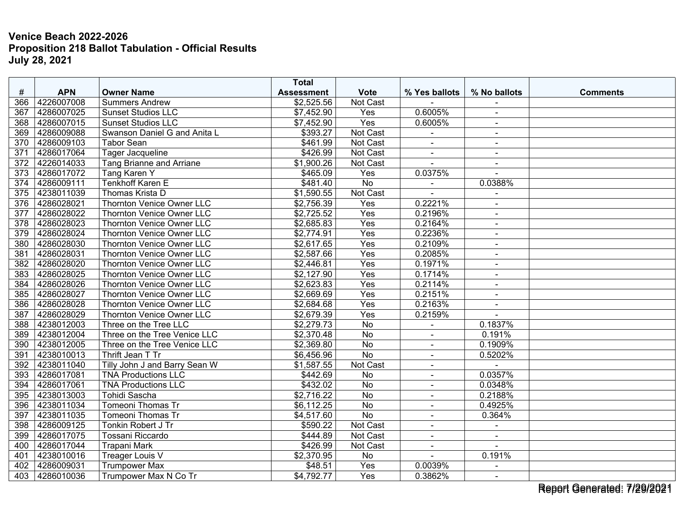|                  |            |                                  | <b>Total</b>      |             |                |                          |                 |
|------------------|------------|----------------------------------|-------------------|-------------|----------------|--------------------------|-----------------|
| #                | <b>APN</b> | <b>Owner Name</b>                | <b>Assessment</b> | <b>Vote</b> | % Yes ballots  | % No ballots             | <b>Comments</b> |
| 366              | 4226007008 | <b>Summers Andrew</b>            | \$2,525.56        | Not Cast    |                |                          |                 |
| 367              | 4286007025 | <b>Sunset Studios LLC</b>        | \$7,452.90        | Yes         | 0.6005%        | $\sim$                   |                 |
| 368              | 4286007015 | <b>Sunset Studios LLC</b>        | \$7,452.90        | Yes         | 0.6005%        | $\sim$                   |                 |
| 369              | 4286009088 | Swanson Daniel G and Anita L     | \$393.27          | Not Cast    |                |                          |                 |
| 370              | 4286009103 | <b>Tabor Sean</b>                | \$461.99          | Not Cast    | $\blacksquare$ | $\sim$                   |                 |
| 371              | 4286017064 | Tager Jacqueline                 | \$426.99          | Not Cast    | $\blacksquare$ | $\sim$                   |                 |
| 372              | 4226014033 | Tang Brianne and Arriane         | \$1,900.26        | Not Cast    |                | $\sim$                   |                 |
| 373              | 4286017072 | Tang Karen Y                     | \$465.09          | Yes         | 0.0375%        | $\overline{a}$           |                 |
| 374              | 4286009111 | <b>Tenkhoff Karen E</b>          | \$481.40          | No          | $\blacksquare$ | 0.0388%                  |                 |
| 375              | 4238011039 | Thomas Krista D                  | \$1,590.55        | Not Cast    |                | $\blacksquare$           |                 |
| 376              | 4286028021 | <b>Thornton Venice Owner LLC</b> | \$2,756.39        | Yes         | 0.2221%        |                          |                 |
| $\overline{377}$ | 4286028022 | <b>Thornton Venice Owner LLC</b> | \$2,725.52        | Yes         | 0.2196%        | $\overline{a}$           |                 |
| 378              | 4286028023 | <b>Thornton Venice Owner LLC</b> | \$2,685.83        | Yes         | 0.2164%        | $\blacksquare$           |                 |
| 379              | 4286028024 | <b>Thornton Venice Owner LLC</b> | \$2,774.91        | Yes         | 0.2236%        | $\blacksquare$           |                 |
| 380              | 4286028030 | <b>Thornton Venice Owner LLC</b> | \$2,617.65        | Yes         | 0.2109%        | $\blacksquare$           |                 |
| 381              | 4286028031 | <b>Thornton Venice Owner LLC</b> | \$2,587.66        | Yes         | 0.2085%        | $\sim$                   |                 |
| 382              | 4286028020 | <b>Thornton Venice Owner LLC</b> | \$2,446.81        | Yes         | 0.1971%        | $\overline{\phantom{a}}$ |                 |
| 383              | 4286028025 | <b>Thornton Venice Owner LLC</b> | \$2,127.90        | Yes         | 0.1714%        | $\sim$                   |                 |
| 384              | 4286028026 | <b>Thornton Venice Owner LLC</b> | \$2,623.83        | Yes         | 0.2114%        | $\sim$                   |                 |
| 385              | 4286028027 | <b>Thornton Venice Owner LLC</b> | \$2,669.69        | Yes         | 0.2151%        | $\sim$                   |                 |
| 386              | 4286028028 | <b>Thornton Venice Owner LLC</b> | \$2,684.68        | Yes         | 0.2163%        | $\blacksquare$           |                 |
| 387              | 4286028029 | <b>Thornton Venice Owner LLC</b> | \$2,679.39        | Yes         | 0.2159%        |                          |                 |
| 388              | 4238012003 | Three on the Tree LLC            | \$2,279.73        | No          |                | 0.1837%                  |                 |
| 389              | 4238012004 | Three on the Tree Venice LLC     | \$2,370.48        | No          | $\blacksquare$ | 0.191%                   |                 |
| 390              | 4238012005 | Three on the Tree Venice LLC     | \$2,369.80        | <b>No</b>   | $\blacksquare$ | 0.1909%                  |                 |
| 391              | 4238010013 | Thrift Jean T Tr                 | \$6,456.96        | No          | $\blacksquare$ | 0.5202%                  |                 |
| 392              | 4238011040 | Tilly John J and Barry Sean W    | \$1,587.55        | Not Cast    | $\blacksquare$ |                          |                 |
| 393              | 4286017081 | <b>TNA Productions LLC</b>       | \$442.69          | No          | $\blacksquare$ | 0.0357%                  |                 |
| 394              | 4286017061 | <b>TNA Productions LLC</b>       | \$432.02          | <b>No</b>   |                | 0.0348%                  |                 |
| 395              | 4238013003 | Tohidi Sascha                    | \$2,716.22        | No          | $\blacksquare$ | 0.2188%                  |                 |
| 396              | 4238011034 | Tomeoni Thomas Tr                | \$6,112.25        | No          | $\blacksquare$ | 0.4925%                  |                 |
| 397              | 4238011035 | Tomeoni Thomas Tr                | \$4,517.60        | <b>No</b>   | $\blacksquare$ | 0.364%                   |                 |
| 398              | 4286009125 | Tonkin Robert J Tr               | \$590.22          | Not Cast    | $\blacksquare$ | $\blacksquare$           |                 |
| 399              | 4286017075 | Tossani Riccardo                 | \$444.89          | Not Cast    | $\sim$         | $\sim$                   |                 |
| 400              | 4286017044 | Trapani Mark                     | \$426.99          | Not Cast    | $\blacksquare$ |                          |                 |
| 401              | 4238010016 | <b>Treager Louis V</b>           | \$2,370.95        | No          |                | 0.191%                   |                 |
| 402              | 4286009031 | <b>Trumpower Max</b>             | \$48.51           | Yes         | 0.0039%        |                          |                 |
| 403              | 4286010036 | Trumpower Max N Co Tr            | \$4,792.77        | Yes         | 0.3862%        | $\blacksquare$           |                 |

Report Generated: 7/29/2021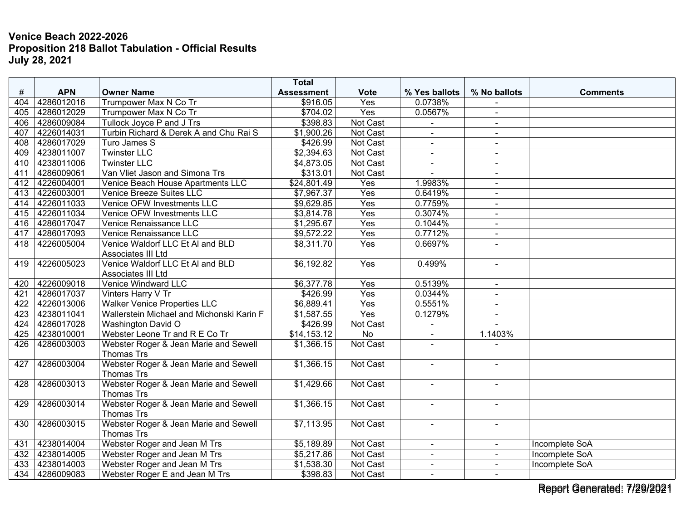|     |            |                                           | <b>Total</b>      |             |                |                |                       |
|-----|------------|-------------------------------------------|-------------------|-------------|----------------|----------------|-----------------------|
| #   | <b>APN</b> | <b>Owner Name</b>                         | <b>Assessment</b> | <b>Vote</b> | % Yes ballots  | % No ballots   | <b>Comments</b>       |
| 404 | 4286012016 | Trumpower Max N Co Tr                     | \$916.05          | Yes         | 0.0738%        |                |                       |
| 405 | 4286012029 | Trumpower Max N Co Tr                     | \$704.02          | Yes         | 0.0567%        | $\blacksquare$ |                       |
| 406 | 4286009084 | Tullock Joyce P and J Trs                 | \$398.83          | Not Cast    |                | $\blacksquare$ |                       |
| 407 | 4226014031 | Turbin Richard & Derek A and Chu Rai S    | \$1,900.26        | Not Cast    |                | $\blacksquare$ |                       |
| 408 | 4286017029 | Turo James S                              | \$426.99          | Not Cast    |                | $\blacksquare$ |                       |
| 409 | 4238011007 | <b>Twinster LLC</b>                       | \$2,394.63        | Not Cast    | $\overline{a}$ | $\blacksquare$ |                       |
| 410 | 4238011006 | <b>Twinster LLC</b>                       | \$4,873.05        | Not Cast    | $\blacksquare$ | $\blacksquare$ |                       |
| 411 | 4286009061 | Van Vliet Jason and Simona Trs            | \$313.01          | Not Cast    |                |                |                       |
| 412 | 4226004001 | Venice Beach House Apartments LLC         | \$24,801.49       | Yes         | 1.9983%        | $\blacksquare$ |                       |
| 413 | 4226003001 | <b>Venice Breeze Suites LLC</b>           | \$7,967.37        | Yes         | 0.6419%        | $\blacksquare$ |                       |
| 414 | 4226011033 | Venice OFW Investments LLC                | \$9,629.85        | Yes         | 0.7759%        | $\blacksquare$ |                       |
| 415 | 4226011034 | Venice OFW Investments LLC                | \$3,814.78        | Yes         | 0.3074%        |                |                       |
| 416 | 4286017047 | Venice Renaissance LLC                    | \$1,295.67        | Yes         | 0.1044%        | $\blacksquare$ |                       |
| 417 | 4286017093 | Venice Renaissance LLC                    | \$9,572.22        | Yes         | 0.7712%        | $\blacksquare$ |                       |
| 418 | 4226005004 | Venice Waldorf LLC Et Al and BLD          | \$8,311.70        | Yes         | 0.6697%        |                |                       |
|     |            | Associates III Ltd                        |                   |             |                |                |                       |
| 419 | 4226005023 | Venice Waldorf LLC Et AI and BLD          | \$6,192.82        | Yes         | 0.499%         | $\blacksquare$ |                       |
|     |            | Associates III Ltd                        |                   |             |                |                |                       |
| 420 | 4226009018 | Venice Windward LLC                       | \$6,377.78        | Yes         | 0.5139%        | $\blacksquare$ |                       |
| 421 | 4286017037 | Vinters Harry V Tr                        | \$426.99          | Yes         | 0.0344%        | $\sim$         |                       |
| 422 | 4226013006 | <b>Walker Venice Properties LLC</b>       | \$6,889.41        | Yes         | 0.5551%        | $\blacksquare$ |                       |
| 423 | 4238011041 | Wallerstein Michael and Michonski Karin F | \$1,587.55        | Yes         | 0.1279%        |                |                       |
| 424 | 4286017028 | <b>Washington David O</b>                 | \$426.99          | Not Cast    |                |                |                       |
| 425 | 4238010001 | Webster Leone Tr and R E Co Tr            | \$14,153.12       | <b>No</b>   | $\blacksquare$ | 1.1403%        |                       |
| 426 | 4286003003 | Webster Roger & Jean Marie and Sewell     | \$1,366.15        | Not Cast    | $\overline{a}$ |                |                       |
|     |            | <b>Thomas Trs</b>                         |                   |             |                |                |                       |
| 427 | 4286003004 | Webster Roger & Jean Marie and Sewell     | \$1,366.15        | Not Cast    | $\blacksquare$ | $\sim$         |                       |
|     |            | Thomas Trs                                |                   |             |                |                |                       |
| 428 | 4286003013 | Webster Roger & Jean Marie and Sewell     | \$1,429.66        | Not Cast    | $\overline{a}$ |                |                       |
|     |            | <b>Thomas Trs</b>                         |                   |             |                |                |                       |
| 429 | 4286003014 | Webster Roger & Jean Marie and Sewell     | \$1,366.15        | Not Cast    | $\blacksquare$ | $\blacksquare$ |                       |
|     |            | <b>Thomas Trs</b>                         |                   |             |                |                |                       |
| 430 | 4286003015 | Webster Roger & Jean Marie and Sewell     | \$7,113.95        | Not Cast    | $\blacksquare$ | $\blacksquare$ |                       |
|     |            | <b>Thomas Trs</b>                         |                   |             |                |                |                       |
| 431 | 4238014004 | Webster Roger and Jean M Trs              | \$5,189.89        | Not Cast    | $\sim$         | $\sim$         | <b>Incomplete SoA</b> |
| 432 | 4238014005 | Webster Roger and Jean M Trs              | \$5,217.86        | Not Cast    |                |                | Incomplete SoA        |
| 433 | 4238014003 | Webster Roger and Jean M Trs              | \$1,538.30        | Not Cast    | $\sim$         |                | Incomplete SoA        |
| 434 | 4286009083 | Webster Roger E and Jean M Trs            | \$398.83          | Not Cast    | $\sim$         |                |                       |